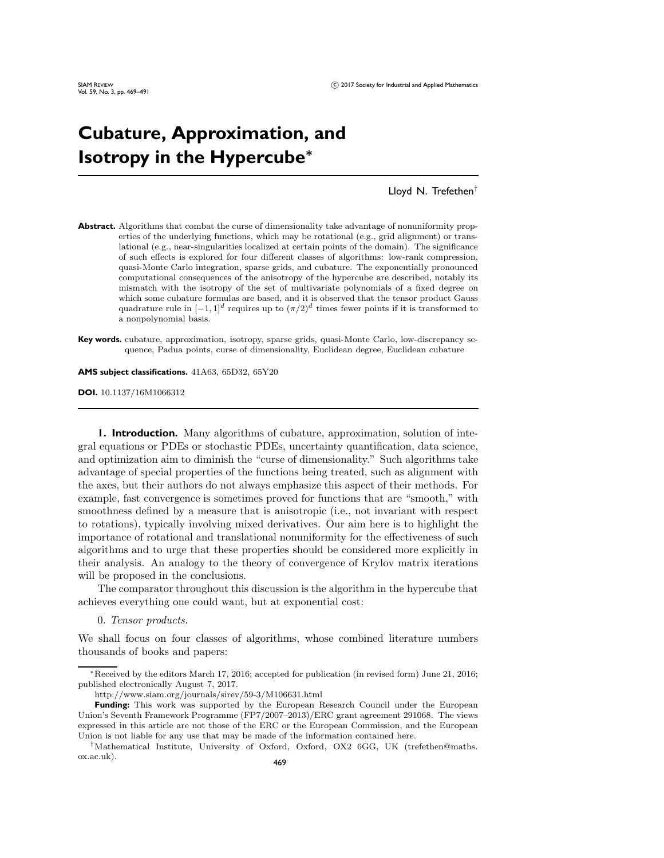# **Cubature, Approximation, and Isotropy in the Hypercube***<sup>∗</sup>*

Lloyd N. Trefethen†

- **Abstract.** Algorithms that combat the curse of dimensionality take advantage of nonuniformity properties of the underlying functions, which may be rotational (e.g., grid alignment) or translational (e.g., near-singularities localized at certain points of the domain). The significance of such effects is explored for four different classes of algorithms: low-rank compression, quasi-Monte Carlo integration, sparse grids, and cubature. The exponentially pronounced computational consequences of the anisotropy of the hypercube are described, notably its mismatch with the isotropy of the set of multivariate polynomials of a fixed degree on which some cubature formulas are based, and it is observed that the tensor product Gauss quadrature rule in  $[-1, 1]^d$  requires up to  $(\pi/2)^d$  times fewer points if it is transformed to a nonpolynomial basis.
- **Key words.** cubature, approximation, isotropy, sparse grids, quasi-Monte Carlo, low-discrepancy sequence, Padua points, curse of dimensionality, Euclidean degree, Euclidean cubature

**AMS subject classifications.** 41A63, 65D32, 65Y20

**DOI.** 10.1137/16M1066312

**1. Introduction.** Many algorithms of cubature, approximation, solution of integral equations or PDEs or stochastic PDEs, uncertainty quantification, data science, and optimization aim to diminish the "curse of dimensionality." Such algorithms take advantage of special properties of the functions being treated, such as alignment with the axes, but their authors do not always emphasize this aspect of their methods. For example, fast convergence is sometimes proved for functions that are "smooth," with smoothness defined by a measure that is anisotropic (i.e., not invariant with respect to rotations), typically involving mixed derivatives. Our aim here is to highlight the importance of rotational and translational nonuniformity for the effectiveness of such algorithms and to urge that these properties should be considered more explicitly in their analysis. An analogy to the theory of convergence of Krylov matrix iterations will be proposed in the conclusions.

The comparator throughout this discussion is the algorithm in the hypercube that achieves everything one could want, but at exponential cost:

0. *Tensor products.*

We shall focus on four classes of algorithms, whose combined literature numbers thousands of books and papers:

<sup>∗</sup>Received by the editors March 17, 2016; accepted for publication (in revised form) June 21, 2016; published electronically August 7, 2017.

<http://www.siam.org/journals/sirev/59-3/M106631.html>

**Funding:** This work was supported by the European Research Council under the European Union's Seventh Framework Programme (FP7/2007–2013)/ERC grant agreement 291068. The views expressed in this article are not those of the ERC or the European Commission, and the European Union is not liable for any use that may be made of the information contained here.

<sup>†</sup>[Mathematical Institute, University of Oxford, Oxford, OX2 6GG, UK \(trefethen@maths.](mailto:trefethen@maths.ox.ac.uk)

ox.ac.uk). <sup>469</sup>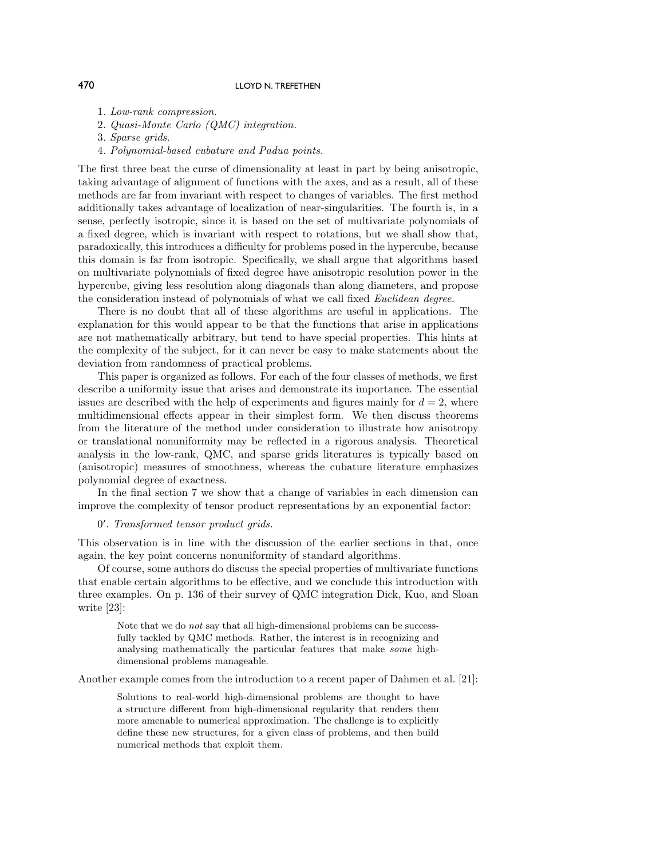- 1. *Low-rank compression.*
- 2. *Quasi-Monte Carlo (QMC) integration.*
- 3. *Sparse grids.*
- 4. *Polynomial-based cubature and Padua points.*

The first three beat the curse of dimensionality at least in part by being anisotropic, taking advantage of alignment of functions with the axes, and as a result, all of these methods are far from invariant with respect to changes of variables. The first method additionally takes advantage of localization of near-singularities. The fourth is, in a sense, perfectly isotropic, since it is based on the set of multivariate polynomials of a fixed degree, which is invariant with respect to rotations, but we shall show that, paradoxically, this introduces a difficulty for problems posed in the hypercube, because this domain is far from isotropic. Specifically, we shall argue that algorithms based on multivariate polynomials of fixed degree have anisotropic resolution power in the hypercube, giving less resolution along diagonals than along diameters, and propose the consideration instead of polynomials of what we call fixed *Euclidean degree.*

There is no doubt that all of these algorithms are useful in applications. The explanation for this would appear to be that the functions that arise in applications are not mathematically arbitrary, but tend to have special properties. This hints at the complexity of the subject, for it can never be easy to make statements about the deviation from randomness of practical problems.

This paper is organized as follows. For each of the four classes of methods, we first describe a uniformity issue that arises and demonstrate its importance. The essential issues are described with the help of experiments and figures mainly for  $d = 2$ , where multidimensional effects appear in their simplest form. We then discuss theorems from the literature of the method under consideration to illustrate how anisotropy or translational nonuniformity may be reflected in a rigorous analysis. Theoretical analysis in the low-rank, QMC, and sparse grids literatures is typically based on (anisotropic) measures of smoothness, whereas the cubature literature emphasizes polynomial degree of exactness.

In the final section [7](#page-16-0) we show that a change of variables in each dimension can improve the complexity of tensor product representations by an exponential factor:

# 0 . *Transformed tensor product grids.*

This observation is in line with the discussion of the earlier sections in that, once again, the key point concerns nonuniformity of standard algorithms.

Of course, some authors do discuss the special properties of multivariate functions that enable certain algorithms to be effective, and we conclude this introduction with three examples. On p. 136 of their survey of QMC integration Dick, Kuo, and Sloan write [\[23\]](#page-20-0):

Note that we do *not* say that all high-dimensional problems can be successfully tackled by QMC methods. Rather, the interest is in recognizing and analysing mathematically the particular features that make *some* highdimensional problems manageable.

Another example comes from the introduction to a recent paper of Dahmen et al. [\[21\]](#page-20-1):

Solutions to real-world high-dimensional problems are thought to have a structure different from high-dimensional regularity that renders them more amenable to numerical approximation. The challenge is to explicitly define these new structures, for a given class of problems, and then build numerical methods that exploit them.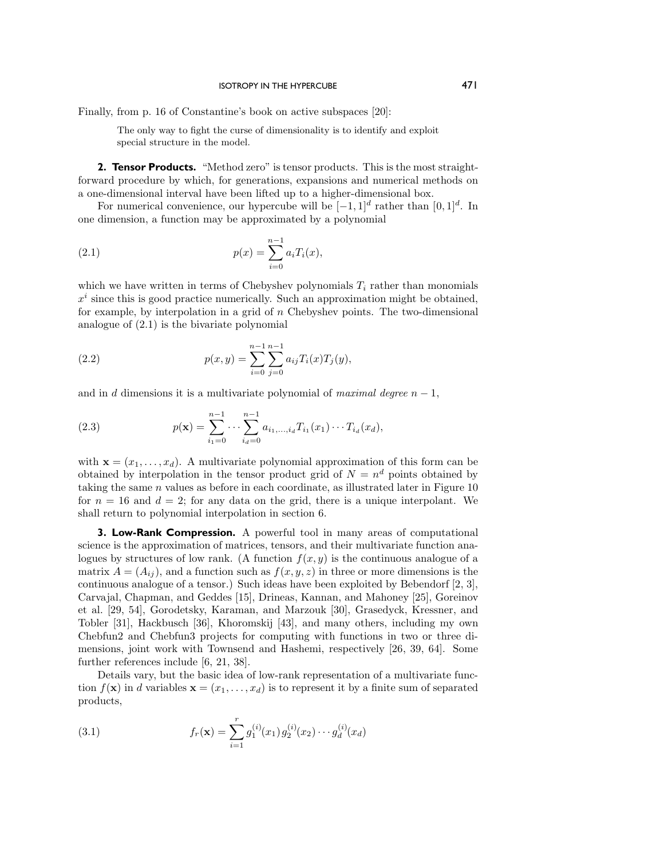#### ISOTROPY IN THE HYPERCUBE 471

Finally, from p. 16 of Constantine's book on active subspaces [\[20\]](#page-20-2):

The only way to fight the curse of dimensionality is to identify and exploit special structure in the model.

<span id="page-2-4"></span>**2. Tensor Products.** "Method zero" is tensor products. This is the most straightforward procedure by which, for generations, expansions and numerical methods on a one-dimensional interval have been lifted up to a higher-dimensional box.

For numerical convenience, our hypercube will be  $[-1, 1]^d$  rather than  $[0, 1]^d$ . In one dimension, a function may be approximated by a polynomial

<span id="page-2-0"></span>(2.1) 
$$
p(x) = \sum_{i=0}^{n-1} a_i T_i(x),
$$

which we have written in terms of Chebyshev polynomials  $T_i$  rather than monomials  $x<sup>i</sup>$  since this is good practice numerically. Such an approximation might be obtained, for example, by interpolation in a grid of n Chebyshev points. The two-dimensional analogue of [\(2.1\)](#page-2-0) is the bivariate polynomial

<span id="page-2-1"></span>(2.2) 
$$
p(x,y) = \sum_{i=0}^{n-1} \sum_{j=0}^{n-1} a_{ij} T_i(x) T_j(y),
$$

and in d dimensions it is a multivariate polynomial of *maximal degree*  $n - 1$ ,

<span id="page-2-3"></span>(2.3) 
$$
p(\mathbf{x}) = \sum_{i_1=0}^{n-1} \cdots \sum_{i_d=0}^{n-1} a_{i_1,\ldots,i_d} T_{i_1}(x_1) \cdots T_{i_d}(x_d),
$$

with  $\mathbf{x} = (x_1, \ldots, x_d)$ . A multivariate polynomial approximation of this form can be obtained by interpolation in the tensor product grid of  $N = n^d$  points obtained by taking the same  $n$  values as before in each coordinate, as illustrated later in Figure [10](#page-18-0) for  $n = 16$  and  $d = 2$ ; for any data on the grid, there is a unique interpolant. We shall return to polynomial interpolation in section [6.](#page-11-0)

**3. Low-Rank Compression.** A powerful tool in many areas of computational science is the approximation of matrices, tensors, and their multivariate function analogues by structures of low rank. (A function  $f(x, y)$  is the continuous analogue of a matrix  $A = (A_{ij})$ , and a function such as  $f(x, y, z)$  in three or more dimensions is the continuous analogue of a tensor.) Such ideas have been exploited by Bebendorf [\[2,](#page-20-3) [3\]](#page-20-4), Carvajal, Chapman, and Geddes [\[15\]](#page-20-5), Drineas, Kannan, and Mahoney [\[25\]](#page-21-0), Goreinov et al. [\[29,](#page-21-1) [54\]](#page-22-0), Gorodetsky, Karaman, and Marzouk [\[30\]](#page-21-2), Grasedyck, Kressner, and Tobler [\[31\]](#page-21-3), Hackbusch [\[36\]](#page-21-4), Khoromskij [\[43\]](#page-21-5), and many others, including my own Chebfun2 and Chebfun3 projects for computing with functions in two or three dimensions, joint work with Townsend and Hashemi, respectively [\[26,](#page-21-6) [39,](#page-21-7) [64\]](#page-22-1). Some further references include [\[6,](#page-20-6) [21,](#page-20-1) [38\]](#page-21-8).

Details vary, but the basic idea of low-rank representation of a multivariate function  $f(\mathbf{x})$  in d variables  $\mathbf{x} = (x_1, \ldots, x_d)$  is to represent it by a finite sum of separated products,

<span id="page-2-2"></span>(3.1) 
$$
f_r(\mathbf{x}) = \sum_{i=1}^r g_1^{(i)}(x_1) g_2^{(i)}(x_2) \cdots g_d^{(i)}(x_d)
$$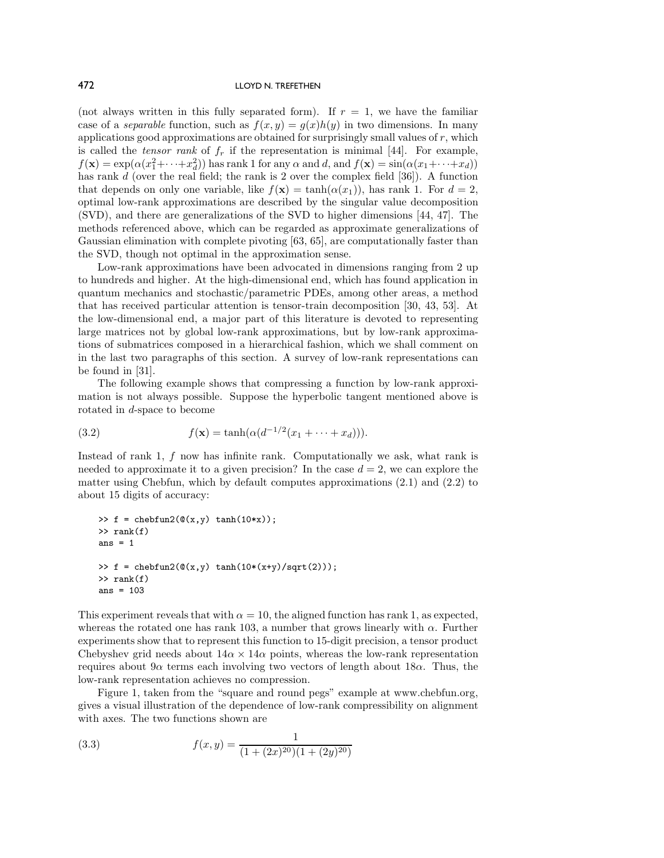(not always written in this fully separated form). If  $r = 1$ , we have the familiar case of a *separable* function, such as  $f(x, y) = g(x)h(y)$  in two dimensions. In many applications good approximations are obtained for surprisingly small values of r, which is called the *tensor rank* of  $f_r$  if the representation is minimal [\[44\]](#page-21-9). For example,  $f(\mathbf{x}) = \exp(\alpha(x_1^2 + \cdots + x_d^2))$  has rank 1 for any  $\alpha$  and  $d$ , and  $f(\mathbf{x}) = \sin(\alpha(x_1 + \cdots + x_d))$ has rank d (over the real field; the rank is 2 over the complex field [\[36\]](#page-21-4)). A function that depends on only one variable, like  $f(\mathbf{x}) = \tanh(\alpha(x_1))$ , has rank 1. For  $d = 2$ , optimal low-rank approximations are described by the singular value decomposition (SVD), and there are generalizations of the SVD to higher dimensions [\[44,](#page-21-9) [47\]](#page-21-10). The methods referenced above, which can be regarded as approximate generalizations of Gaussian elimination with complete pivoting [\[63,](#page-22-2) [65\]](#page-22-3), are computationally faster than the SVD, though not optimal in the approximation sense.

Low-rank approximations have been advocated in dimensions ranging from 2 up to hundreds and higher. At the high-dimensional end, which has found application in quantum mechanics and stochastic/parametric PDEs, among other areas, a method that has received particular attention is tensor-train decomposition [\[30,](#page-21-2) [43,](#page-21-5) [53\]](#page-22-4). At the low-dimensional end, a major part of this literature is devoted to representing large matrices not by global low-rank approximations, but by low-rank approximations of submatrices composed in a hierarchical fashion, which we shall comment on in the last two paragraphs of this section. A survey of low-rank representations can be found in [\[31\]](#page-21-3).

The following example shows that compressing a function by low-rank approximation is not always possible. Suppose the hyperbolic tangent mentioned above is rotated in d-space to become

(3.2) 
$$
f(\mathbf{x}) = \tanh(\alpha(d^{-1/2}(x_1 + \dots + x_d))).
$$

Instead of rank 1, f now has infinite rank. Computationally we ask, what rank is needed to approximate it to a given precision? In the case  $d = 2$ , we can explore the matter using Chebfun, which by default computes approximations [\(2.1\)](#page-2-0) and [\(2.2\)](#page-2-1) to about 15 digits of accuracy:

```
>> f = chebfun2(\mathbb{Q}(x,y) tanh(10*x);
\gg rank(f)ans = 1>> f = chebfun2(\mathcal{O}(x,y) tanh(10*(x+y)/sqrt(2)));
>> rank(f)
ans = 103
```
This experiment reveals that with  $\alpha = 10$ , the aligned function has rank 1, as expected, whereas the rotated one has rank 103, a number that grows linearly with  $\alpha$ . Further experiments show that to represent this function to 15-digit precision, a tensor product Chebyshev grid needs about  $14\alpha \times 14\alpha$  points, whereas the low-rank representation requires about 9 $\alpha$  terms each involving two vectors of length about 18 $\alpha$ . Thus, the low-rank representation achieves no compression.

Figure [1,](#page-4-0) taken from the "square and round pegs" example at [www.chebfun.org,](www.chebfun.org) gives a visual illustration of the dependence of low-rank compressibility on alignment with axes. The two functions shown are

<span id="page-3-0"></span>(3.3) 
$$
f(x,y) = \frac{1}{(1+(2x)^{20})(1+(2y)^{20})}
$$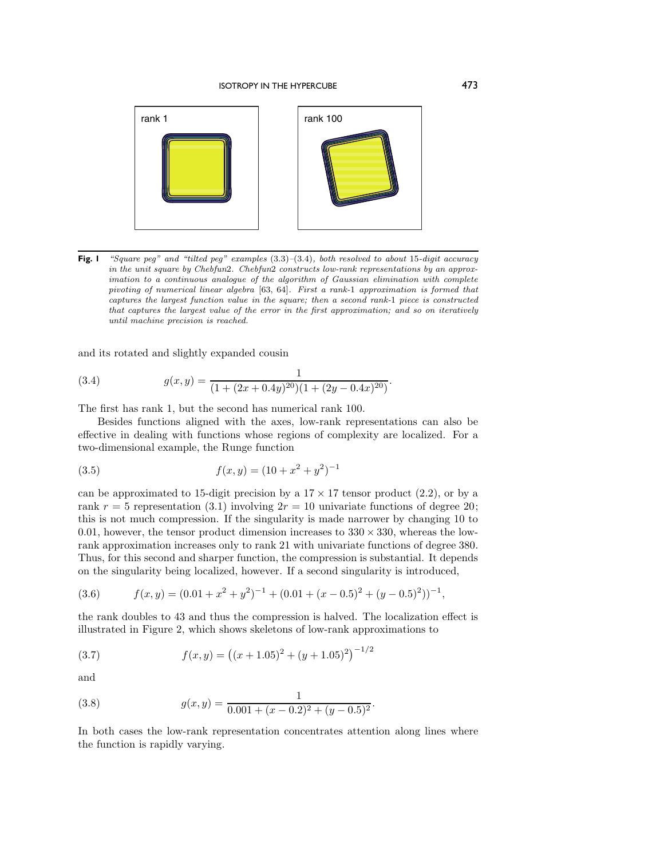<span id="page-4-0"></span>

**Fig. 1** "Square peg" and "tilted peg" examples [\(3](#page-3-0).3)–[\(3](#page-4-1).4), both resolved to about 15-digit accuracy in the unit square by Chebfun2. Chebfun2 constructs low-rank representations by an approximation to a continuous analogue of the algorithm of Gaussian elimination with complete pivoting of numerical linear algebra [\[63,](#page-22-2) [64\]](#page-22-1). First a rank-1 approximation is formed that captures the largest function value in the square; then a second rank-1 piece is constructed that captures the largest value of the error in the first approximation; and so on iteratively until machine precision is reached.

and its rotated and slightly expanded cousin

<span id="page-4-1"></span>(3.4) 
$$
g(x,y) = \frac{1}{(1 + (2x + 0.4y)^{20})(1 + (2y - 0.4x)^{20})}
$$

The first has rank 1, but the second has numerical rank 100.

Besides functions aligned with the axes, low-rank representations can also be effective in dealing with functions whose regions of complexity are localized. For a two-dimensional example, the Runge function

(3.5) 
$$
f(x,y) = (10 + x^2 + y^2)^{-1}
$$

can be approximated to 15-digit precision by a  $17 \times 17$  tensor product [\(2.2\)](#page-2-1), or by a rank  $r = 5$  representation [\(3.1\)](#page-2-2) involving  $2r = 10$  univariate functions of degree 20; this is not much compression. If the singularity is made narrower by changing 10 to 0.01, however, the tensor product dimension increases to  $330 \times 330$ , whereas the lowrank approximation increases only to rank 21 with univariate functions of degree 380. Thus, for this second and sharper function, the compression is substantial. It depends on the singularity being localized, however. If a second singularity is introduced,

(3.6) 
$$
f(x,y) = (0.01 + x^2 + y^2)^{-1} + (0.01 + (x - 0.5)^2 + (y - 0.5)^2))^{-1},
$$

the rank doubles to 43 and thus the compression is halved. The localization effect is illustrated in Figure [2,](#page-5-0) which shows skeletons of low-rank approximations to

<span id="page-4-2"></span>(3.7) 
$$
f(x,y) = ((x+1.05)^2 + (y+1.05)^2)^{-1/2}
$$

and

<span id="page-4-3"></span>(3.8) 
$$
g(x,y) = \frac{1}{0.001 + (x - 0.2)^2 + (y - 0.5)^2}.
$$

In both cases the low-rank representation concentrates attention along lines where the function is rapidly varying.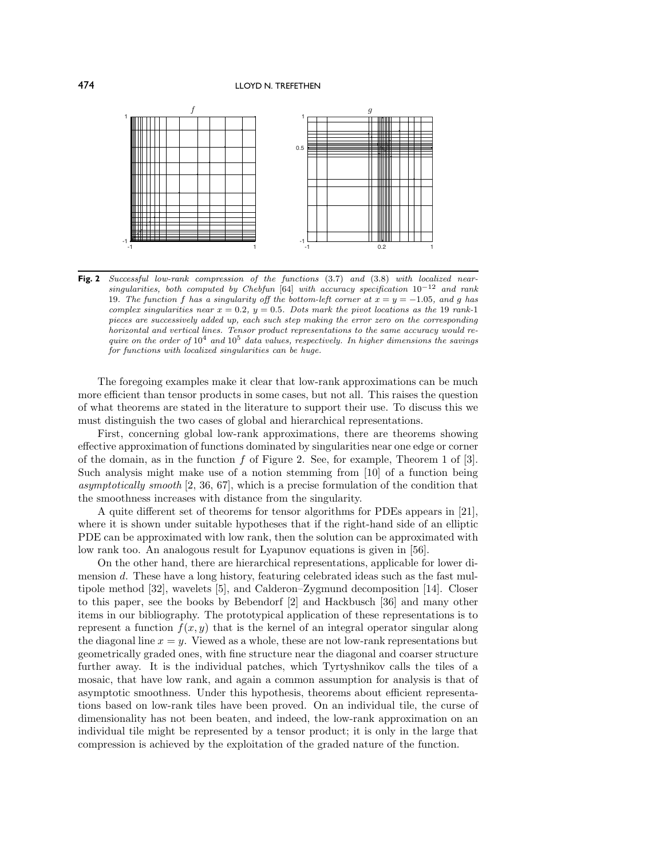<span id="page-5-0"></span>

**Fig. 2** Successful low-rank compression of the functions (3.[7\)](#page-4-2) and (3.[8\)](#page-4-3) with localized near-singularities, both computed by Chebfun [\[64\]](#page-22-1) with accuracy specification  $10^{-12}$  and rank 19. The function f has a singularity off the bottom-left corner at  $x = y = -1.05$ , and g has complex singularities near  $x = 0.2$ ,  $y = 0.5$ . Dots mark the pivot locations as the 19 rank-1 pieces are successively added up, each such step making the error zero on the corresponding horizontal and vertical lines. Tensor product representations to the same accuracy would require on the order of  $10^4$  and  $10^5$  data values, respectively. In higher dimensions the savings for functions with localized singularities can be huge.

The foregoing examples make it clear that low-rank approximations can be much more efficient than tensor products in some cases, but not all. This raises the question of what theorems are stated in the literature to support their use. To discuss this we must distinguish the two cases of global and hierarchical representations.

First, concerning global low-rank approximations, there are theorems showing effective approximation of functions dominated by singularities near one edge or corner of the domain, as in the function f of Figure [2.](#page-5-0) See, for example, Theorem 1 of  $[3]$ . Such analysis might make use of a notion stemming from [\[10\]](#page-20-7) of a function being *asymptotically smooth* [\[2,](#page-20-3) [36,](#page-21-4) [67\]](#page-22-5), which is a precise formulation of the condition that the smoothness increases with distance from the singularity.

A quite different set of theorems for tensor algorithms for PDEs appears in [\[21\]](#page-20-1), where it is shown under suitable hypotheses that if the right-hand side of an elliptic PDE can be approximated with low rank, then the solution can be approximated with low rank too. An analogous result for Lyapunov equations is given in [\[56\]](#page-22-6).

On the other hand, there are hierarchical representations, applicable for lower dimension d. These have a long history, featuring celebrated ideas such as the fast multipole method [\[32\]](#page-21-11), wavelets [\[5\]](#page-20-8), and Calderon–Zygmund decomposition [\[14\]](#page-20-9). Closer to this paper, see the books by Bebendorf [\[2\]](#page-20-3) and Hackbusch [\[36\]](#page-21-4) and many other items in our bibliography. The prototypical application of these representations is to represent a function  $f(x, y)$  that is the kernel of an integral operator singular along the diagonal line  $x = y$ . Viewed as a whole, these are not low-rank representations but geometrically graded ones, with fine structure near the diagonal and coarser structure further away. It is the individual patches, which Tyrtyshnikov calls the tiles of a mosaic, that have low rank, and again a common assumption for analysis is that of asymptotic smoothness. Under this hypothesis, theorems about efficient representations based on low-rank tiles have been proved. On an individual tile, the curse of dimensionality has not been beaten, and indeed, the low-rank approximation on an individual tile might be represented by a tensor product; it is only in the large that compression is achieved by the exploitation of the graded nature of the function.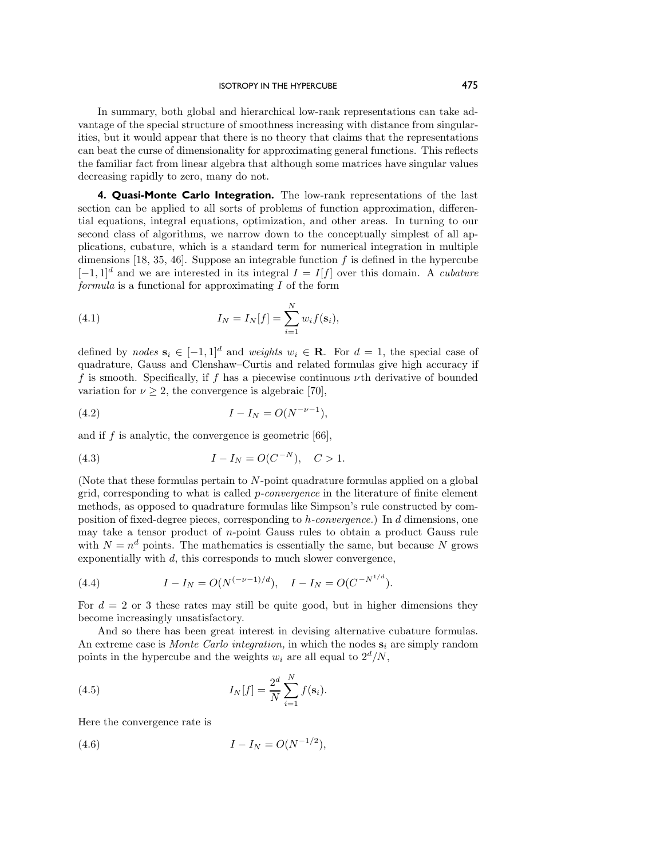#### **ISOTROPY IN THE HYPERCUBE** 475

In summary, both global and hierarchical low-rank representations can take advantage of the special structure of smoothness increasing with distance from singularities, but it would appear that there is no theory that claims that the representations can beat the curse of dimensionality for approximating general functions. This reflects the familiar fact from linear algebra that although some matrices have singular values decreasing rapidly to zero, many do not.

<span id="page-6-3"></span>**4. Quasi-Monte Carlo Integration.** The low-rank representations of the last section can be applied to all sorts of problems of function approximation, differential equations, integral equations, optimization, and other areas. In turning to our second class of algorithms, we narrow down to the conceptually simplest of all applications, cubature, which is a standard term for numerical integration in multiple dimensions [\[18,](#page-20-10) [35,](#page-21-12) [46\]](#page-21-13). Suppose an integrable function f is defined in the hypercube  $[-1, 1]^d$  and we are interested in its integral  $I = I[f]$  over this domain. A *cubature formula* is a functional for approximating I of the form

<span id="page-6-2"></span>(4.1) 
$$
I_N = I_N[f] = \sum_{i=1}^N w_i f(\mathbf{s}_i),
$$

defined by *nodes*  $\mathbf{s}_i \in [-1, 1]^d$  and *weights*  $w_i \in \mathbf{R}$ . For  $d = 1$ , the special case of quadrature, Gauss and Clenshaw–Curtis and related formulas give high accuracy if f is smooth. Specifically, if f has a piecewise continuous  $\nu$ th derivative of bounded variation for  $\nu \geq 2$ , the convergence is algebraic [\[70\]](#page-22-7),

(4.2) 
$$
I - I_N = O(N^{-\nu - 1}),
$$

and if f is analytic, the convergence is geometric  $[66]$ ,

(4.3) 
$$
I - I_N = O(C^{-N}), \quad C > 1.
$$

(Note that these formulas pertain to N-point quadrature formulas applied on a global grid, corresponding to what is called p*-convergence* in the literature of finite element methods, as opposed to quadrature formulas like Simpson's rule constructed by composition of fixed-degree pieces, corresponding to h*-convergence.*) In d dimensions, one may take a tensor product of n-point Gauss rules to obtain a product Gauss rule with  $N = n<sup>d</sup>$  points. The mathematics is essentially the same, but because N grows exponentially with d, this corresponds to much slower convergence,

(4.4) 
$$
I - I_N = O(N^{(-\nu - 1)/d}), \quad I - I_N = O(C^{-N^{1/d}}).
$$

For  $d = 2$  or 3 these rates may still be quite good, but in higher dimensions they become increasingly unsatisfactory.

And so there has been great interest in devising alternative cubature formulas. An extreme case is *Monte Carlo integration*, in which the nodes  $s_i$  are simply random points in the hypercube and the weights  $w_i$  are all equal to  $2^d/N$ ,

<span id="page-6-0"></span>(4.5) 
$$
I_N[f] = \frac{2^d}{N} \sum_{i=1}^N f(\mathbf{s}_i).
$$

Here the convergence rate is

<span id="page-6-1"></span>(4.6) 
$$
I - I_N = O(N^{-1/2}),
$$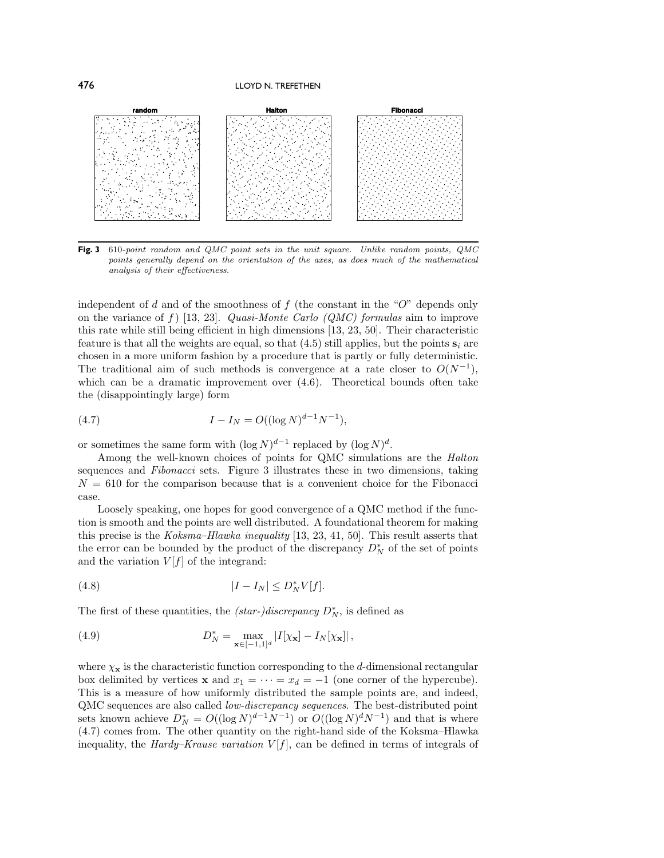<span id="page-7-0"></span>

**Fig. 3** 610-point random and QMC point sets in the unit square. Unlike random points, QMC points generally depend on the orientation of the axes, as does much of the mathematical analysis of their effectiveness.

independent of d and of the smoothness of  $f$  (the constant in the " $O$ " depends only on the variance of f ) [\[13,](#page-20-11) [23\]](#page-20-0). *Quasi-Monte Carlo (QMC) formulas* aim to improve this rate while still being efficient in high dimensions [\[13,](#page-20-11) [23,](#page-20-0) [50\]](#page-21-14). Their characteristic feature is that all the weights are equal, so that  $(4.5)$  still applies, but the points  $s_i$  are chosen in a more uniform fashion by a procedure that is partly or fully deterministic. The traditional aim of such methods is convergence at a rate closer to  $O(N^{-1})$ , which can be a dramatic improvement over  $(4.6)$ . Theoretical bounds often take the (disappointingly large) form

<span id="page-7-1"></span>(4.7) 
$$
I - I_N = O((\log N)^{d-1} N^{-1}),
$$

or sometimes the same form with  $(\log N)^{d-1}$  replaced by  $(\log N)^d$ .

Among the well-known choices of points for QMC simulations are the *Halton* sequences and *Fibonacci* sets. Figure [3](#page-7-0) illustrates these in two dimensions, taking  $N = 610$  for the comparison because that is a convenient choice for the Fibonacci case.

Loosely speaking, one hopes for good convergence of a QMC method if the function is smooth and the points are well distributed. A foundational theorem for making this precise is the *Koksma–Hlawka inequality* [\[13,](#page-20-11) [23,](#page-20-0) [41,](#page-21-15) [50\]](#page-21-14). This result asserts that the error can be bounded by the product of the discrepancy  $D_N^*$  of the set of points and the variation  $V[f]$  of the integrand:

$$
(4.8)\t\t\t |I - I_N| \le D_N^* V[f].
$$

The first of these quantities, the  $(s \n*tar*$ *-)discrepancy*  $D_N^*$ , is defined as

(4.9) 
$$
D_N^* = \max_{\mathbf{x} \in [-1,1]^d} |I[\chi_{\mathbf{x}}] - I_N[\chi_{\mathbf{x}}]|,
$$

where  $\chi_{\mathbf{x}}$  is the characteristic function corresponding to the *d*-dimensional rectangular box delimited by vertices **x** and  $x_1 = \cdots = x_d = -1$  (one corner of the hypercube). This is a measure of how uniformly distributed the sample points are, and indeed, QMC sequences are also called *low-discrepancy sequences*. The best-distributed point sets known achieve  $D_N^* = O((\log N)^{d-1}N^{-1})$  or  $O((\log N)^d N^{-1})$  and that is where [\(4.7\)](#page-7-1) comes from. The other quantity on the right-hand side of the Koksma–Hlawka inequality, the *Hardy–Krause variation*  $V[f]$ , can be defined in terms of integrals of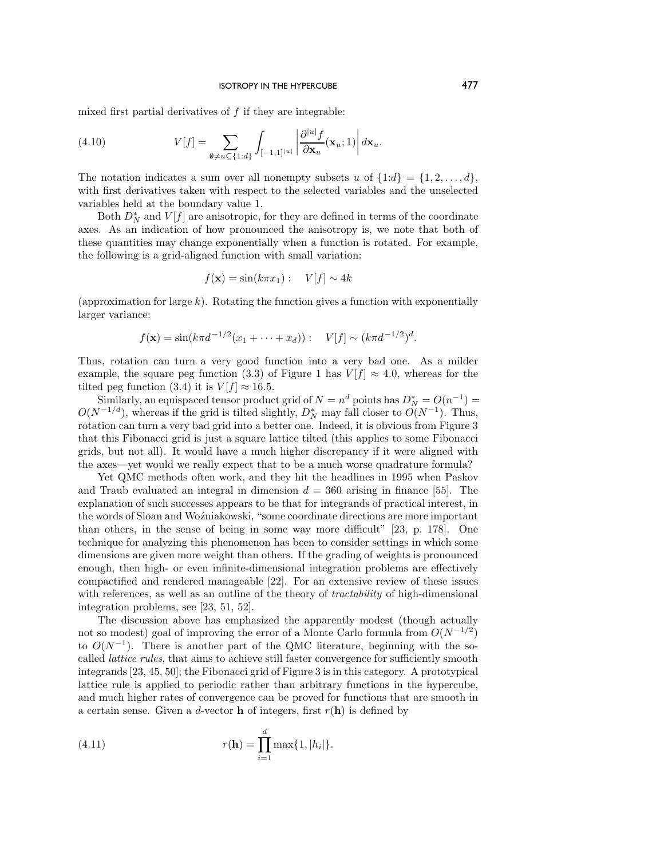#### ISOTROPY IN THE HYPERCUBE **477**

mixed first partial derivatives of  $f$  if they are integrable:

(4.10) 
$$
V[f] = \sum_{\emptyset \neq u \subseteq \{1:d\}} \int_{[-1,1]^{|u|}} \left| \frac{\partial^{|u|} f}{\partial x_u}(\mathbf{x}_u; 1) \right| d\mathbf{x}_u.
$$

The notation indicates a sum over all nonempty subsets u of  $\{1:d\} = \{1, 2, \ldots, d\}$ , with first derivatives taken with respect to the selected variables and the unselected variables held at the boundary value 1.

Both  $D_N^*$  and  $V[f]$  are anisotropic, for they are defined in terms of the coordinate axes. As an indication of how pronounced the anisotropy is, we note that both of these quantities may change exponentially when a function is rotated. For example, the following is a grid-aligned function with small variation:

$$
f(\mathbf{x}) = \sin(k\pi x_1): \quad V[f] \sim 4k
$$

(approximation for large  $k$ ). Rotating the function gives a function with exponentially larger variance:

$$
f(\mathbf{x}) = \sin(k\pi d^{-1/2}(x_1 + \dots + x_d)) : V[f] \sim (k\pi d^{-1/2})^d.
$$

Thus, rotation can turn a very good function into a very bad one. As a milder example, the square peg function [\(3.3\)](#page-3-0) of Figure [1](#page-4-0) has  $V[f] \approx 4.0$ , whereas for the tilted peg function [\(3.4\)](#page-4-1) it is  $V[f] \approx 16.5$ .

Similarly, an equispaced tensor product grid of  $N = n^d$  points has  $D_N^* = O(n^{-1}) =$  $O(N^{-1/d})$ , whereas if the grid is tilted slightly,  $D_N^*$  may fall closer to  $O(N^{-1})$ . Thus, rotation can turn a very bad grid into a better one. Indeed, it is obvious from Figure [3](#page-7-0) that this Fibonacci grid is just a square lattice tilted (this applies to some Fibonacci grids, but not all). It would have a much higher discrepancy if it were aligned with the axes—yet would we really expect that to be a much worse quadrature formula?

Yet QMC methods often work, and they hit the headlines in 1995 when Paskov and Traub evaluated an integral in dimension  $d = 360$  arising in finance [\[55\]](#page-22-9). The explanation of such successes appears to be that for integrands of practical interest, in the words of Sloan and Woźniakowski, "some coordinate directions are more important than others, in the sense of being in some way more difficult" [\[23,](#page-20-0) p. 178]. One technique for analyzing this phenomenon has been to consider settings in which some dimensions are given more weight than others. If the grading of weights is pronounced enough, then high- or even infinite-dimensional integration problems are effectively compactified and rendered manageable [\[22\]](#page-20-12). For an extensive review of these issues with references, as well as an outline of the theory of *tractability* of high-dimensional integration problems, see [\[23,](#page-20-0) [51,](#page-21-16) [52\]](#page-22-10).

The discussion above has emphasized the apparently modest (though actually not so modest) goal of improving the error of a Monte Carlo formula from  $O(N^{-1/2})$ to  $O(N^{-1})$ . There is another part of the QMC literature, beginning with the socalled *lattice rules*, that aims to achieve still faster convergence for sufficiently smooth integrands [\[23,](#page-20-0) [45,](#page-21-17) [50\]](#page-21-14); the Fibonacci grid of Figure [3](#page-7-0) is in this category. A prototypical lattice rule is applied to periodic rather than arbitrary functions in the hypercube, and much higher rates of convergence can be proved for functions that are smooth in a certain sense. Given a d-vector **h** of integers, first  $r(\mathbf{h})$  is defined by

<span id="page-8-0"></span>(4.11) 
$$
r(\mathbf{h}) = \prod_{i=1}^{d} \max\{1, |h_i|\}.
$$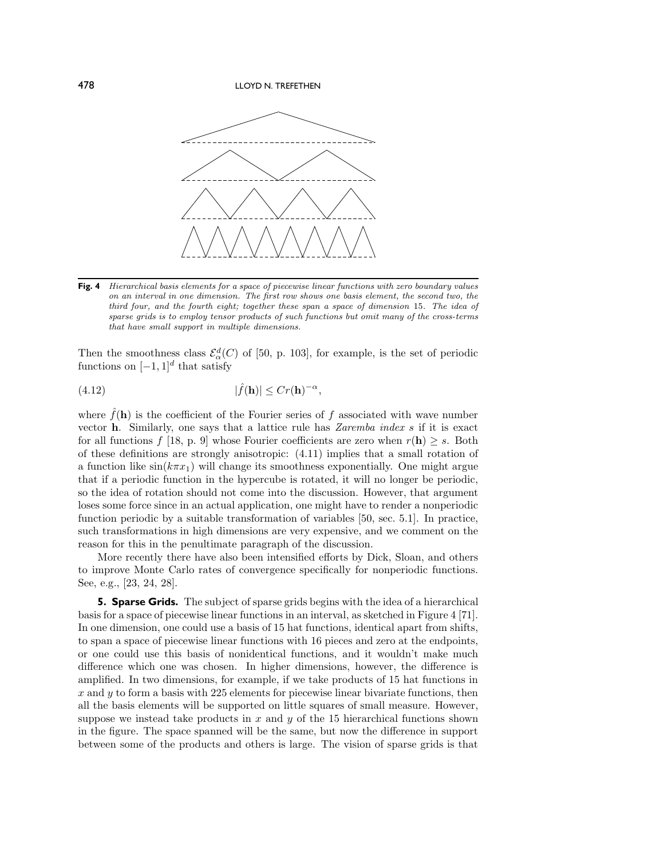<span id="page-9-0"></span>

**Fig. 4** Hierarchical basis elements for a space of piecewise linear functions with zero boundary values on an interval in one dimension. The first row shows one basis element, the second two, the third four, and the fourth eight; together these span a space of dimension 15. The idea of sparse grids is to employ tensor products of such functions but omit many of the cross-terms that have small support in multiple dimensions.

Then the smoothness class  $\mathcal{E}_{\alpha}^{d}(C)$  of [\[50,](#page-21-14) p. 103], for example, is the set of periodic functions on  $[-1, 1]^d$  that satisfy

$$
(4.12)\qquad \qquad |\hat{f}(\mathbf{h})| \le Cr(\mathbf{h})^{-\alpha},
$$

where  $\hat{f}(\mathbf{h})$  is the coefficient of the Fourier series of f associated with wave number vector **h**. Similarly, one says that a lattice rule has *Zaremba index* s if it is exact for all functions f [\[18,](#page-20-10) p. 9] whose Fourier coefficients are zero when  $r(\mathbf{h}) \geq s$ . Both of these definitions are strongly anisotropic: [\(4.11\)](#page-8-0) implies that a small rotation of a function like  $sin(k\pi x_1)$  will change its smoothness exponentially. One might argue that if a periodic function in the hypercube is rotated, it will no longer be periodic, so the idea of rotation should not come into the discussion. However, that argument loses some force since in an actual application, one might have to render a nonperiodic function periodic by a suitable transformation of variables [\[50,](#page-21-14) sec. 5.1]. In practice, such transformations in high dimensions are very expensive, and we comment on the reason for this in the penultimate paragraph of the discussion.

More recently there have also been intensified efforts by Dick, Sloan, and others to improve Monte Carlo rates of convergence specifically for nonperiodic functions. See, e.g., [\[23,](#page-20-0) [24,](#page-21-18) [28\]](#page-21-19).

**5. Sparse Grids.** The subject of sparse grids begins with the idea of a hierarchical basis for a space of piecewise linear functions in an interval, as sketched in Figure [4](#page-9-0) [\[71\]](#page-22-11). In one dimension, one could use a basis of 15 hat functions, identical apart from shifts, to span a space of piecewise linear functions with 16 pieces and zero at the endpoints, or one could use this basis of nonidentical functions, and it wouldn't make much difference which one was chosen. In higher dimensions, however, the difference is amplified. In two dimensions, for example, if we take products of 15 hat functions in  $x$  and  $y$  to form a basis with 225 elements for piecewise linear bivariate functions, then all the basis elements will be supported on little squares of small measure. However, suppose we instead take products in  $x$  and  $y$  of the 15 hierarchical functions shown in the figure. The space spanned will be the same, but now the difference in support between some of the products and others is large. The vision of sparse grids is that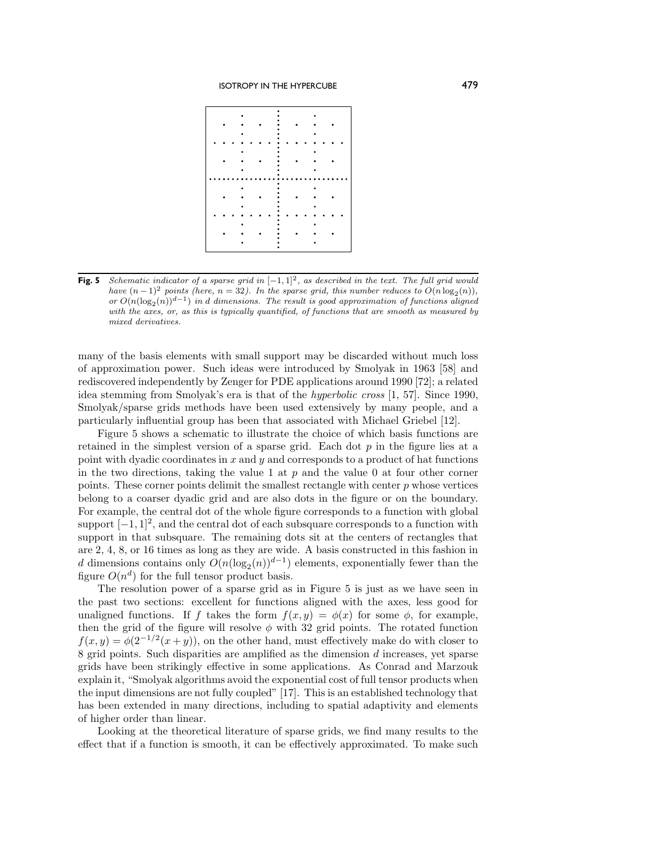<span id="page-10-0"></span>

**Fig. 5** Schematic indicator of a sparse grid in  $[-1, 1]^2$ , as described in the text. The full grid would have  $(n-1)^2$  points (here,  $n = 32$ ). In the sparse grid, this number reduces to  $O(n \log_2(n))$ , or  $O(n(\log_2(n))^{d-1})$  in d dimensions. The result is good approximation of functions aligned with the axes, or, as this is typically quantified, of functions that are smooth as measured by mixed derivatives.

many of the basis elements with small support may be discarded without much loss of approximation power. Such ideas were introduced by Smolyak in 1963 [\[58\]](#page-22-12) and rediscovered independently by Zenger for PDE applications around 1990 [\[72\]](#page-22-13); a related idea stemming from Smolyak's era is that of the *hyperbolic cross* [\[1,](#page-20-13) [57\]](#page-22-14). Since 1990, Smolyak/sparse grids methods have been used extensively by many people, and a particularly influential group has been that associated with Michael Griebel [\[12\]](#page-20-14).

Figure [5](#page-10-0) shows a schematic to illustrate the choice of which basis functions are retained in the simplest version of a sparse grid. Each dot  $p$  in the figure lies at a point with dyadic coordinates in  $x$  and  $y$  and corresponds to a product of hat functions in the two directions, taking the value 1 at  $p$  and the value 0 at four other corner points. These corner points delimit the smallest rectangle with center  $p$  whose vertices belong to a coarser dyadic grid and are also dots in the figure or on the boundary. For example, the central dot of the whole figure corresponds to a function with global support  $[-1, 1]^2$ , and the central dot of each subsquare corresponds to a function with support in that subsquare. The remaining dots sit at the centers of rectangles that are 2, 4, 8, or 16 times as long as they are wide. A basis constructed in this fashion in d dimensions contains only  $O(n(\log_2(n))^{d-1})$  elements, exponentially fewer than the figure  $O(n^d)$  for the full tensor product basis.

The resolution power of a sparse grid as in Figure [5](#page-10-0) is just as we have seen in the past two sections: excellent for functions aligned with the axes, less good for unaligned functions. If f takes the form  $f(x, y) = \phi(x)$  for some  $\phi$ , for example, then the grid of the figure will resolve  $\phi$  with 32 grid points. The rotated function  $f(x, y) = \phi(2^{-1/2}(x+y))$ , on the other hand, must effectively make do with closer to 8 grid points. Such disparities are amplified as the dimension d increases, yet sparse grids have been strikingly effective in some applications. As Conrad and Marzouk explain it, "Smolyak algorithms avoid the exponential cost of full tensor products when the input dimensions are not fully coupled" [\[17\]](#page-20-15). This is an established technology that has been extended in many directions, including to spatial adaptivity and elements of higher order than linear.

Looking at the theoretical literature of sparse grids, we find many results to the effect that if a function is smooth, it can be effectively approximated. To make such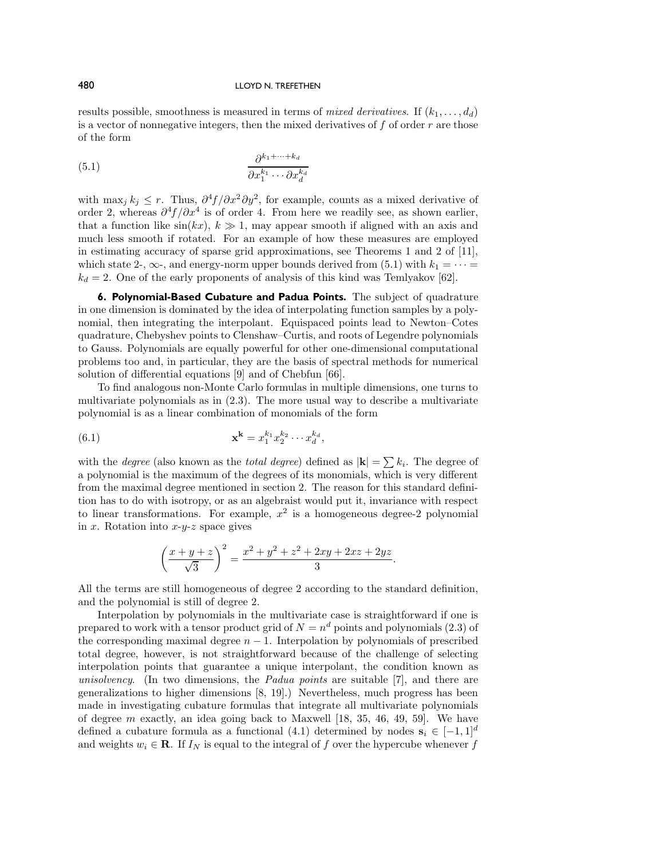results possible, smoothness is measured in terms of *mixed derivatives*. If  $(k_1, \ldots, d_d)$ is a vector of nonnegative integers, then the mixed derivatives of  $f$  of order  $r$  are those of the form

<span id="page-11-1"></span>
$$
(5.1) \qquad \qquad \frac{\partial^{k_1+\cdots+k_d}}{\partial x_1^{k_1}\cdots\partial x_d^{k_d}}
$$

with max<sub>j</sub>  $k_j \leq r$ . Thus,  $\partial^4 f / \partial x^2 \partial y^2$ , for example, counts as a mixed derivative of order 2, whereas  $\partial^4 f / \partial x^4$  is of order 4. From here we readily see, as shown earlier, that a function like  $sin(kx)$ ,  $k \gg 1$ , may appear smooth if aligned with an axis and much less smooth if rotated. For an example of how these measures are employed in estimating accuracy of sparse grid approximations, see Theorems 1 and 2 of [\[11\]](#page-20-16), which state 2-,  $\infty$ -, and energy-norm upper bounds derived from [\(5.1\)](#page-11-1) with  $k_1 = \cdots =$  $k_d = 2$ . One of the early proponents of analysis of this kind was Temlyakov [\[62\]](#page-22-15).

<span id="page-11-0"></span>**6. Polynomial-Based Cubature and Padua Points.** The subject of quadrature in one dimension is dominated by the idea of interpolating function samples by a polynomial, then integrating the interpolant. Equispaced points lead to Newton–Cotes quadrature, Chebyshev points to Clenshaw–Curtis, and roots of Legendre polynomials to Gauss. Polynomials are equally powerful for other one-dimensional computational problems too and, in particular, they are the basis of spectral methods for numerical solution of differential equations [\[9\]](#page-20-17) and of Chebfun [\[66\]](#page-22-8).

To find analogous non-Monte Carlo formulas in multiple dimensions, one turns to multivariate polynomials as in [\(2.3\)](#page-2-3). The more usual way to describe a multivariate polynomial is as a linear combination of monomials of the form

(6.1) 
$$
\mathbf{x}^{\mathbf{k}} = x_1^{k_1} x_2^{k_2} \cdots x_d^{k_d},
$$

with the *degree* (also known as the *total degree*) defined as  $|\mathbf{k}| = \sum k_i$ . The degree of a polynomial is the maximum of the degrees of its monomials, which is very different from the maximal degree mentioned in section [2.](#page-2-4) The reason for this standard definition has to do with isotropy, or as an algebraist would put it, invariance with respect to linear transformations. For example,  $x^2$  is a homogeneous degree-2 polynomial in x. Rotation into  $x-y-z$  space gives

<span id="page-11-2"></span>
$$
\left(\frac{x+y+z}{\sqrt{3}}\right)^2 = \frac{x^2+y^2+z^2+2xy+2xz+2yz}{3}.
$$

All the terms are still homogeneous of degree 2 according to the standard definition, and the polynomial is still of degree 2.

Interpolation by polynomials in the multivariate case is straightforward if one is prepared to work with a tensor product grid of  $N = n^d$  points and polynomials [\(2.3\)](#page-2-3) of the corresponding maximal degree  $n - 1$ . Interpolation by polynomials of prescribed total degree, however, is not straightforward because of the challenge of selecting interpolation points that guarantee a unique interpolant, the condition known as *unisolvency*. (In two dimensions, the *Padua points* are suitable [\[7\]](#page-20-18), and there are generalizations to higher dimensions [\[8,](#page-20-19) [19\]](#page-20-20).) Nevertheless, much progress has been made in investigating cubature formulas that integrate all multivariate polynomials of degree m exactly, an idea going back to Maxwell [\[18,](#page-20-10) [35,](#page-21-12) [46,](#page-21-13) [49,](#page-21-20) [59\]](#page-22-16). We have defined a cubature formula as a functional [\(4.1\)](#page-6-2) determined by nodes  $\mathbf{s}_i \in [-1,1]^d$ and weights  $w_i \in \mathbf{R}$ . If  $I_N$  is equal to the integral of f over the hypercube whenever f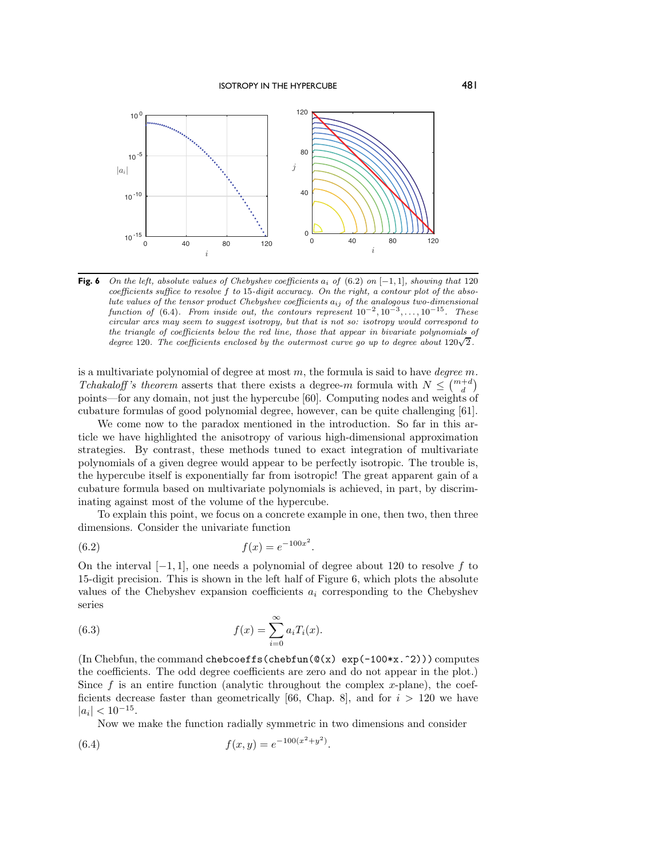<span id="page-12-2"></span>

**Fig. 6** On the left, absolute values of Chebyshev coefficients a*<sup>i</sup>* of (6.[2\)](#page-12-0) on [−1, 1], showing that 120 coefficients suffice to resolve f to 15-digit accuracy. On the right, a contour plot of the absolute values of the tensor product Chebyshev coefficients  $a_{ij}$  of the analogous two-dimensional function of [\(6](#page-12-1).4). From inside out, the contours represent  $10^{-2}$ ,  $10^{-3}$ ,...,  $10^{-15}$ . These circular arcs may seem to suggest isotropy, but that is not so: isotropy would correspond to the triangle of coefficients below the red line, those that appear in bivariate polynomials of degree 120. The coefficients enclosed by the outermost curve go up to degree about  $120\sqrt{2}$ .

is a multivariate polynomial of degree at most m, the formula is said to have *degree* m*. Tchakaloff's theorem* asserts that there exists a degree-m formula with  $N \n\t\leq \n\t\binom{m+d}{d}$ points—for any domain, not just the hypercube [\[60\]](#page-22-17). Computing nodes and weights of cubature formulas of good polynomial degree, however, can be quite challenging [\[61\]](#page-22-18).

We come now to the paradox mentioned in the introduction. So far in this article we have highlighted the anisotropy of various high-dimensional approximation strategies. By contrast, these methods tuned to exact integration of multivariate polynomials of a given degree would appear to be perfectly isotropic. The trouble is, the hypercube itself is exponentially far from isotropic! The great apparent gain of a cubature formula based on multivariate polynomials is achieved, in part, by discriminating against most of the volume of the hypercube.

To explain this point, we focus on a concrete example in one, then two, then three dimensions. Consider the univariate function

<span id="page-12-0"></span>.

(6.2) 
$$
f(x) = e^{-100x^2}
$$

On the interval  $[-1, 1]$ , one needs a polynomial of degree about 120 to resolve f to 15-digit precision. This is shown in the left half of Figure [6,](#page-12-2) which plots the absolute values of the Chebyshev expansion coefficients  $a_i$  corresponding to the Chebyshev series

(6.3) 
$$
f(x) = \sum_{i=0}^{\infty} a_i T_i(x).
$$

(In Chebfun, the command chebcoeffs (chebfun( $\mathcal{Q}(x)$  exp(-100\*x.^2))) computes the coefficients. The odd degree coefficients are zero and do not appear in the plot.) Since  $f$  is an entire function (analytic throughout the complex x-plane), the coef-ficients decrease faster than geometrically [\[66,](#page-22-8) Chap. 8], and for  $i > 120$  we have  $|a_i| < 10^{-15}$ .

Now we make the function radially symmetric in two dimensions and consider

<span id="page-12-1"></span>.

(6.4) 
$$
f(x,y) = e^{-100(x^2 + y^2)}
$$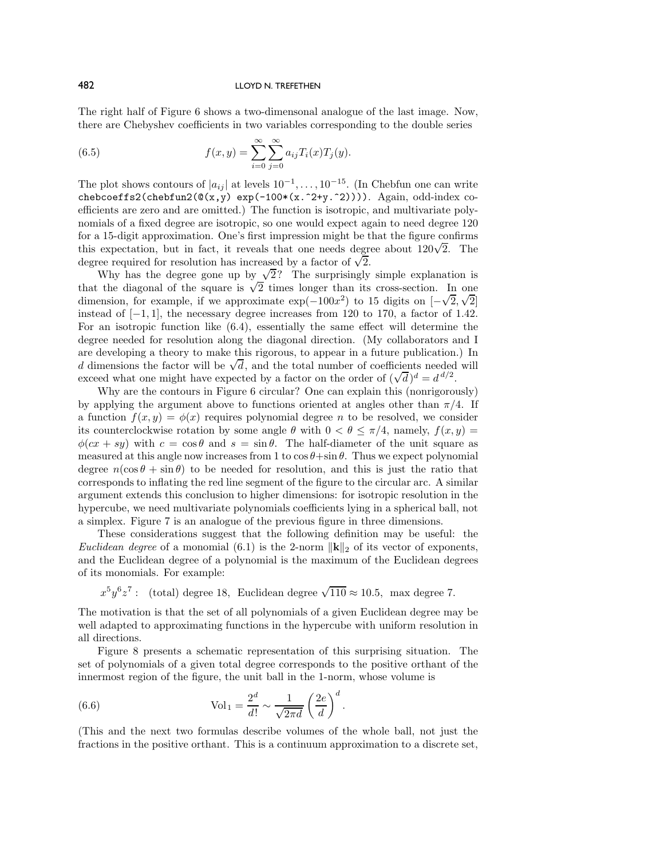The right half of Figure [6](#page-12-2) shows a two-dimensonal analogue of the last image. Now, there are Chebyshev coefficients in two variables corresponding to the double series

(6.5) 
$$
f(x,y) = \sum_{i=0}^{\infty} \sum_{j=0}^{\infty} a_{ij} T_i(x) T_j(y).
$$

The plot shows contours of  $|a_{ij}|$  at levels  $10^{-1}, \ldots, 10^{-15}$ . (In Chebfun one can write chebcoeffs2(chebfun2( $\mathcal{Q}(x,y)$  exp(-100\*(x.^2+y.^2)))). Again, odd-index coefficients are zero and are omitted.) The function is isotropic, and multivariate polynomials of a fixed degree are isotropic, so one would expect again to need degree 120 for a 15-digit approximation. One's first impression might be that the figure confirms for a 15-digit approximation. One s first impression might be that the figure confirms<br>this expectation, but in fact, it reveals that one needs degree about  $120\sqrt{2}$ . The this expectation, but in fact, it reveals that one needs degree required for resolution has increased by a factor of  $\sqrt{2}$ .

Why has the degree gone up by  $\sqrt{2}$ ? The surprisingly simple explanation is that the diagonal of the square is  $\sqrt{2}$  times longer than its cross-section. In one dimension, for example, if we approximate  $\exp(-100x^2)$  to 15 digits on  $[-\sqrt{2}, \sqrt{2}]$ instead of  $[-1, 1]$ , the necessary degree increases from 120 to 170, a factor of 1.42. For an isotropic function like [\(6.4\)](#page-12-1), essentially the same effect will determine the degree needed for resolution along the diagonal direction. (My collaborators and I are developing a theory to make this rigorous, to appear in a future publication.) In are developing a theory to make this rigorous, to appear in a future publication.) In d dimensions the factor will be  $\sqrt{d}$ , and the total number of coefficients needed will a dimensions the factor will be  $\sqrt{a}$ , and the total number of coefficients needed exceed what one might have expected by a factor on the order of  $(\sqrt{d})^d = d^{d/2}$ .

Why are the contours in Figure [6](#page-12-2) circular? One can explain this (nonrigorously) by applying the argument above to functions oriented at angles other than  $\pi/4$ . If a function  $f(x, y) = \phi(x)$  requires polynomial degree n to be resolved, we consider its counterclockwise rotation by some angle  $\theta$  with  $0 < \theta < \pi/4$ , namely,  $f(x, y) =$  $\phi(cx + sy)$  with  $c = \cos \theta$  and  $s = \sin \theta$ . The half-diameter of the unit square as measured at this angle now increases from 1 to  $\cos\theta + \sin\theta$ . Thus we expect polynomial degree  $n(\cos\theta + \sin\theta)$  to be needed for resolution, and this is just the ratio that corresponds to inflating the red line segment of the figure to the circular arc. A similar argument extends this conclusion to higher dimensions: for isotropic resolution in the hypercube, we need multivariate polynomials coefficients lying in a spherical ball, not a simplex. Figure [7](#page-14-0) is an analogue of the previous figure in three dimensions.

These considerations suggest that the following definition may be useful: the *Euclidean degree* of a monomial [\(6.1\)](#page-11-2) is the 2-norm  $\|\mathbf{k}\|_2$  of its vector of exponents, and the Euclidean degree of a polynomial is the maximum of the Euclidean degrees of its monomials. For example:

 $x^5y^6z^7$ : (total) degree 18, Euclidean degree  $\sqrt{110} \approx 10.5$ , max degree 7.

The motivation is that the set of all polynomials of a given Euclidean degree may be well adapted to approximating functions in the hypercube with uniform resolution in all directions.

Figure [8](#page-14-1) presents a schematic representation of this surprising situation. The set of polynomials of a given total degree corresponds to the positive orthant of the innermost region of the figure, the unit ball in the 1-norm, whose volume is

(6.6) 
$$
\text{Vol}_1 = \frac{2^d}{d!} \sim \frac{1}{\sqrt{2\pi d}} \left(\frac{2e}{d}\right)^d.
$$

(This and the next two formulas describe volumes of the whole ball, not just the fractions in the positive orthant. This is a continuum approximation to a discrete set,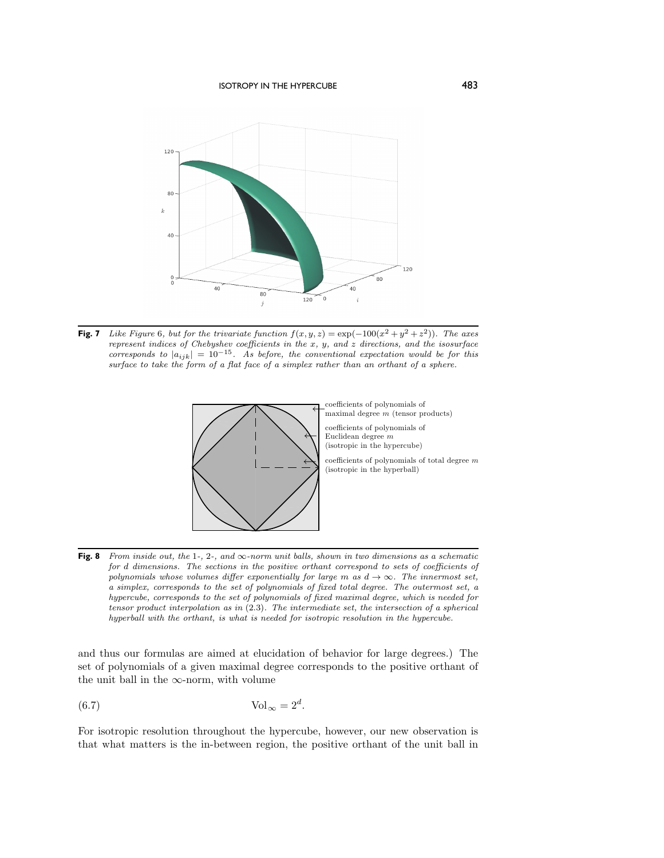<span id="page-14-0"></span>

<span id="page-14-1"></span>**Fig. 7** Like Figure [6](#page-12-2), but for the trivariate function  $f(x, y, z) = \exp(-100(x^2 + y^2 + z^2))$ . The axes represent indices of Chebyshev coefficients in the  $x$ ,  $y$ , and  $z$  directions, and the isosurface corresponds to  $|a_{ijk}| = 10^{-15}$ . As before, the conventional expectation would be for this surface to take the form of a flat face of a simplex rather than an orthant of a sphere.



**Fig. 8** From inside out, the 1-, 2-, and  $\infty$ -norm unit balls, shown in two dimensions as a schematic for d dimensions. The sections in the positive orthant correspond to sets of coefficients of polynomials whose volumes differ exponentially for large m as  $d \rightarrow \infty$ . The innermost set, a simplex, corresponds to the set of polynomials of fixed total degree. The outermost set, a hypercube, corresponds to the set of polynomials of fixed maximal degree, which is needed for tensor product interpolation as in (2.[3\)](#page-2-3). The intermediate set, the intersection of a spherical hyperball with the orthant, is what is needed for isotropic resolution in the hypercube.

and thus our formulas are aimed at elucidation of behavior for large degrees.) The set of polynomials of a given maximal degree corresponds to the positive orthant of the unit ball in the  $\infty$ -norm, with volume

$$
(6.7) \t\t\t Vol\infty = 2d.
$$

For isotropic resolution throughout the hypercube, however, our new observation is that what matters is the in-between region, the positive orthant of the unit ball in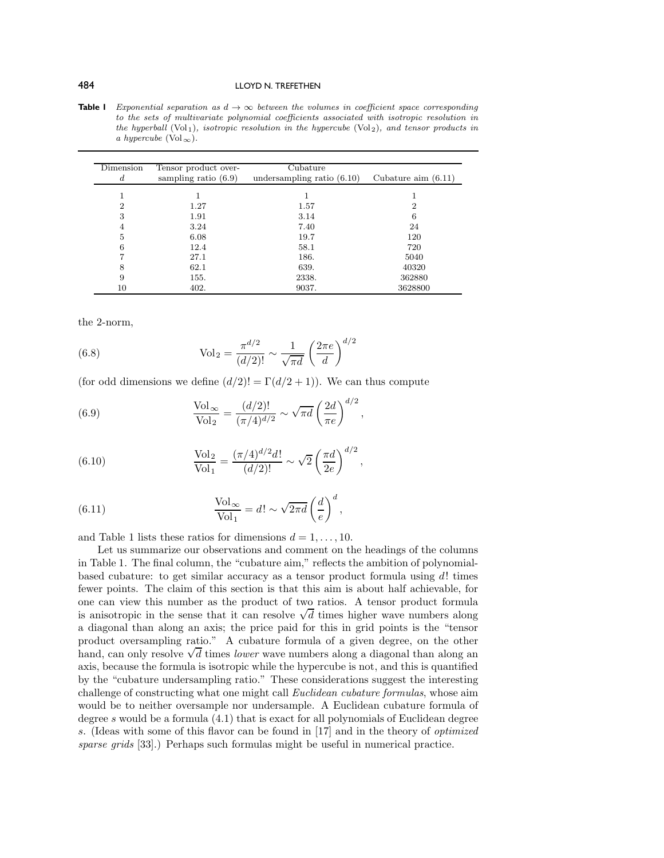<span id="page-15-3"></span>**Table 1** Exponential separation as  $d \rightarrow \infty$  between the volumes in coefficient space corresponding to the sets of multivariate polynomial coefficients associated with isotropic resolution in the hyperball  $(\text{Vol}_1)$ , isotropic resolution in the hypercube  $(\text{Vol}_2)$ , and tensor products in a hypercube (Vol $_{\infty}$ ).

| Dimension      | Tensor product over-   | Cubature                     |                       |
|----------------|------------------------|------------------------------|-----------------------|
| d.             | sampling ratio $(6.9)$ | undersampling ratio $(6.10)$ | Cubature aim $(6.11)$ |
|                |                        |                              |                       |
| $\overline{2}$ | 1.27                   | 1.57                         | 2                     |
| 3              | 1.91                   | 3.14                         | 6                     |
| 4              | 3.24                   | 7.40                         | 24                    |
| 5              | 6.08                   | 19.7                         | 120                   |
| 6              | 12.4                   | 58.1                         | 720                   |
|                | 27.1                   | 186.                         | 5040                  |
| 8              | 62.1                   | 639.                         | 40320                 |
| 9              | 155.                   | 2338.                        | 362880                |
| 10             | 402.                   | 9037.                        | 3628800               |

the 2-norm,

(6.8) 
$$
\text{Vol}_2 = \frac{\pi^{d/2}}{(d/2)!} \sim \frac{1}{\sqrt{\pi d}} \left(\frac{2\pi e}{d}\right)^{d/2}
$$

(for odd dimensions we define  $(d/2)! = \Gamma(d/2 + 1)$ ). We can thus compute

<span id="page-15-0"></span>(6.9) 
$$
\frac{\text{Vol}_{\infty}}{\text{Vol}_{2}} = \frac{(d/2)!}{(\pi/4)^{d/2}} \sim \sqrt{\pi d} \left(\frac{2d}{\pi e}\right)^{d/2},
$$

<span id="page-15-1"></span>(6.10) 
$$
\frac{\text{Vol}_2}{\text{Vol}_1} = \frac{(\pi/4)^{d/2}d!}{(d/2)!} \sim \sqrt{2} \left(\frac{\pi d}{2e}\right)^{d/2}
$$

<span id="page-15-2"></span>(6.11) 
$$
\frac{\text{Vol}_{\infty}}{\text{Vol}_{1}} = d! \sim \sqrt{2\pi d} \left(\frac{d}{e}\right)^{d},
$$

and Table [1](#page-15-3) lists these ratios for dimensions  $d = 1, \ldots, 10$ .

Let us summarize our observations and comment on the headings of the columns in Table [1.](#page-15-3) The final column, the "cubature aim," reflects the ambition of polynomialbased cubature: to get similar accuracy as a tensor product formula using  $d!$  times fewer points. The claim of this section is that this aim is about half achievable, for one can view this number as the product of two ratios. A tensor product formula one can view this number as the product of two ratios. A tensor product formula<br>is anisotropic in the sense that it can resolve  $\sqrt{d}$  times higher wave numbers along a diagonal than along an axis; the price paid for this in grid points is the "tensor product oversampling ratio." A cubature formula of a given degree, on the other product oversamping ratio. A cubature formula or a given degree, on the other<br>hand, can only resolve √d times *lower* wave numbers along a diagonal than along an axis, because the formula is isotropic while the hypercube is not, and this is quantified by the "cubature undersampling ratio." These considerations suggest the interesting challenge of constructing what one might call *Euclidean cubature formulas*, whose aim would be to neither oversample nor undersample. A Euclidean cubature formula of degree s would be a formula  $(4.1)$  that is exact for all polynomials of Euclidean degree s. (Ideas with some of this flavor can be found in [\[17\]](#page-20-15) and in the theory of *optimized sparse grids* [\[33\]](#page-21-21).) Perhaps such formulas might be useful in numerical practice.

,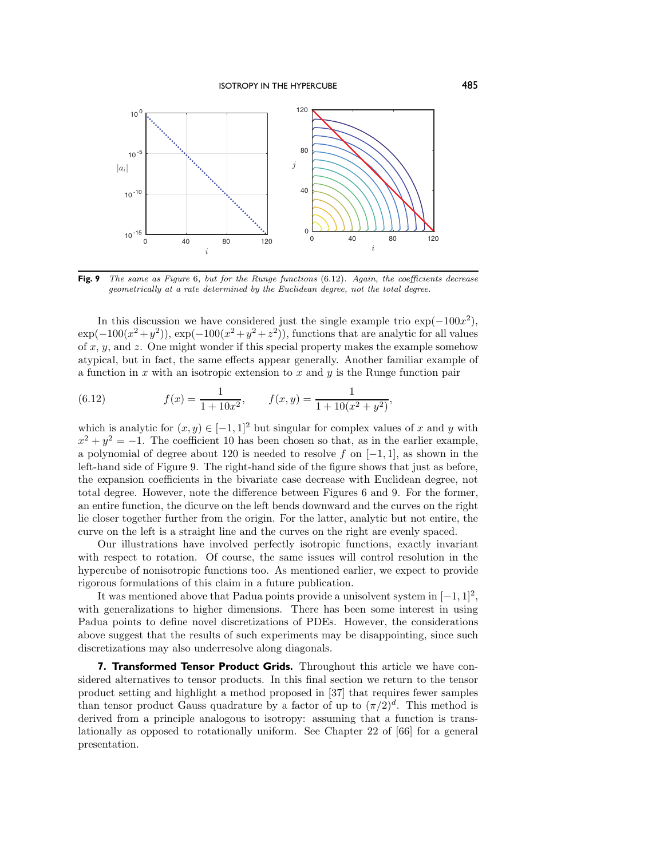<span id="page-16-2"></span>

**Fig. 9** The same as Figure [6](#page-12-2), but for the Runge functions (6.[12\)](#page-16-1). Again, the coefficients decrease geometrically at a rate determined by the Euclidean degree, not the total degree.

In this discussion we have considered just the single example trio  $\exp(-100x^2)$ ,  $\exp(-100(x^2+y^2))$ ,  $\exp(-100(x^2+y^2+z^2))$ , functions that are analytic for all values of x, y, and z. One might wonder if this special property makes the example somehow atypical, but in fact, the same effects appear generally. Another familiar example of a function in  $x$  with an isotropic extension to  $x$  and  $y$  is the Runge function pair

<span id="page-16-1"></span>(6.12) 
$$
f(x) = \frac{1}{1 + 10x^2}, \qquad f(x, y) = \frac{1}{1 + 10(x^2 + y^2)},
$$

which is analytic for  $(x, y) \in [-1, 1]^2$  but singular for complex values of x and y with  $x^2 + y^2 = -1$ . The coefficient 10 has been chosen so that, as in the earlier example, a polynomial of degree about 120 is needed to resolve f on  $[-1, 1]$ , as shown in the left-hand side of Figure [9.](#page-16-2) The right-hand side of the figure shows that just as before, the expansion coefficients in the bivariate case decrease with Euclidean degree, not total degree. However, note the difference between Figures [6](#page-12-2) and [9.](#page-16-2) For the former, an entire function, the dicurve on the left bends downward and the curves on the right lie closer together further from the origin. For the latter, analytic but not entire, the curve on the left is a straight line and the curves on the right are evenly spaced.

Our illustrations have involved perfectly isotropic functions, exactly invariant with respect to rotation. Of course, the same issues will control resolution in the hypercube of nonisotropic functions too. As mentioned earlier, we expect to provide rigorous formulations of this claim in a future publication.

It was mentioned above that Padua points provide a unisolvent system in  $[-1, 1]^2$ , with generalizations to higher dimensions. There has been some interest in using Padua points to define novel discretizations of PDEs. However, the considerations above suggest that the results of such experiments may be disappointing, since such discretizations may also underresolve along diagonals.

<span id="page-16-0"></span>**7. Transformed Tensor Product Grids.** Throughout this article we have considered alternatives to tensor products. In this final section we return to the tensor product setting and highlight a method proposed in [\[37\]](#page-21-22) that requires fewer samples than tensor product Gauss quadrature by a factor of up to  $(\pi/2)^d$ . This method is derived from a principle analogous to isotropy: assuming that a function is translationally as opposed to rotationally uniform. See Chapter 22 of [\[66\]](#page-22-8) for a general presentation.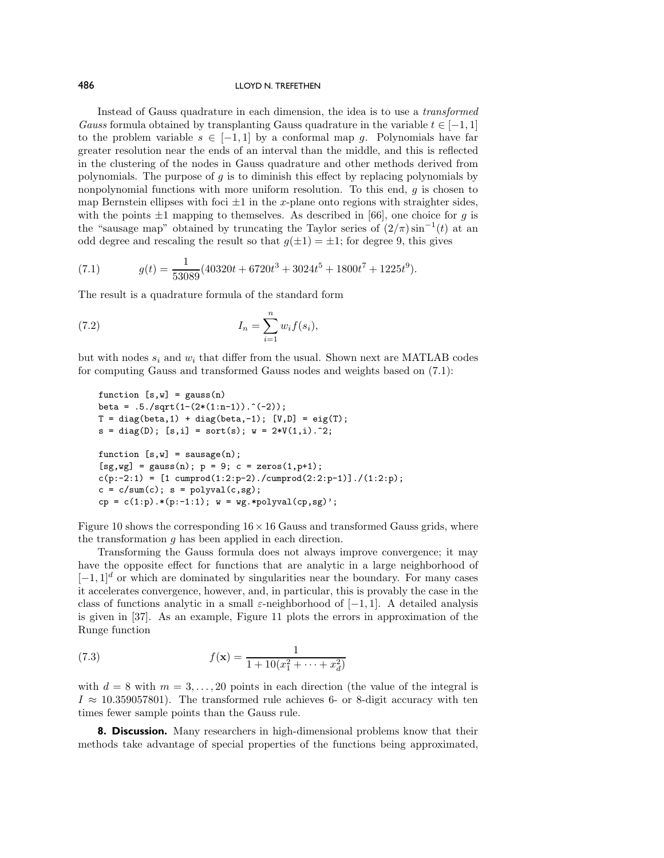Instead of Gauss quadrature in each dimension, the idea is to use a *transformed Gauss* formula obtained by transplanting Gauss quadrature in the variable  $t \in [-1, 1]$ to the problem variable  $s \in [-1,1]$  by a conformal map g. Polynomials have far greater resolution near the ends of an interval than the middle, and this is reflected in the clustering of the nodes in Gauss quadrature and other methods derived from polynomials. The purpose of  $g$  is to diminish this effect by replacing polynomials by nonpolynomial functions with more uniform resolution. To this end, g is chosen to map Bernstein ellipses with foci  $\pm 1$  in the x-plane onto regions with straighter sides, with the points  $\pm 1$  mapping to themselves. As described in [\[66\]](#page-22-8), one choice for g is the "sausage map" obtained by truncating the Taylor series of  $(2/\pi) \sin^{-1}(t)$  at an odd degree and rescaling the result so that  $q(\pm 1) = \pm 1$ ; for degree 9, this gives

<span id="page-17-0"></span>(7.1) 
$$
g(t) = \frac{1}{53089} (40320t + 6720t^3 + 3024t^5 + 1800t^7 + 1225t^9).
$$

The result is a quadrature formula of the standard form

(7.2) 
$$
I_n = \sum_{i=1}^n w_i f(s_i),
$$

but with nodes  $s_i$  and  $w_i$  that differ from the usual. Shown next are MATLAB codes for computing Gauss and transformed Gauss nodes and weights based on [\(7.1\)](#page-17-0):

```
function [s,w] = gauss(n)beta = .5./sqrt(1-(2*(1:n-1)).^(-2));T = diag(beta, 1) + diag(beta, -1); [V, D] = eig(T);s = diag(D); [s,i] = sort(s); w = 2*V(1,i).^2;function [s,w] = sausage(n);
[sg,wg] = gauss(n); p = 9; c = zeros(1,p+1);c(p:-2:1) = [1 \text{ cumprod}(1:2:p-2) \cdot / \text{cumprod}(2:2:p-1)] \cdot / (1:2:p);c = c/sum(c); s = polyval(c, sg);cp = c(1:p).*(p:-1:1); w = wg.*polyval(op, sg)';
```
Figure [10](#page-18-0) shows the corresponding  $16 \times 16$  Gauss and transformed Gauss grids, where the transformation g has been applied in each direction.

Transforming the Gauss formula does not always improve convergence; it may have the opposite effect for functions that are analytic in a large neighborhood of  $[-1, 1]^d$  or which are dominated by singularities near the boundary. For many cases it accelerates convergence, however, and, in particular, this is provably the case in the class of functions analytic in a small  $\varepsilon$ -neighborhood of  $[-1, 1]$ . A detailed analysis is given in [\[37\]](#page-21-22). As an example, Figure [11](#page-18-1) plots the errors in approximation of the Runge function

<span id="page-17-1"></span>(7.3) 
$$
f(\mathbf{x}) = \frac{1}{1 + 10(x_1^2 + \dots + x_d^2)}
$$

with  $d = 8$  with  $m = 3, \ldots, 20$  points in each direction (the value of the integral is  $I \approx 10.359057801$ . The transformed rule achieves 6- or 8-digit accuracy with ten times fewer sample points than the Gauss rule.

**8. Discussion.** Many researchers in high-dimensional problems know that their methods take advantage of special properties of the functions being approximated,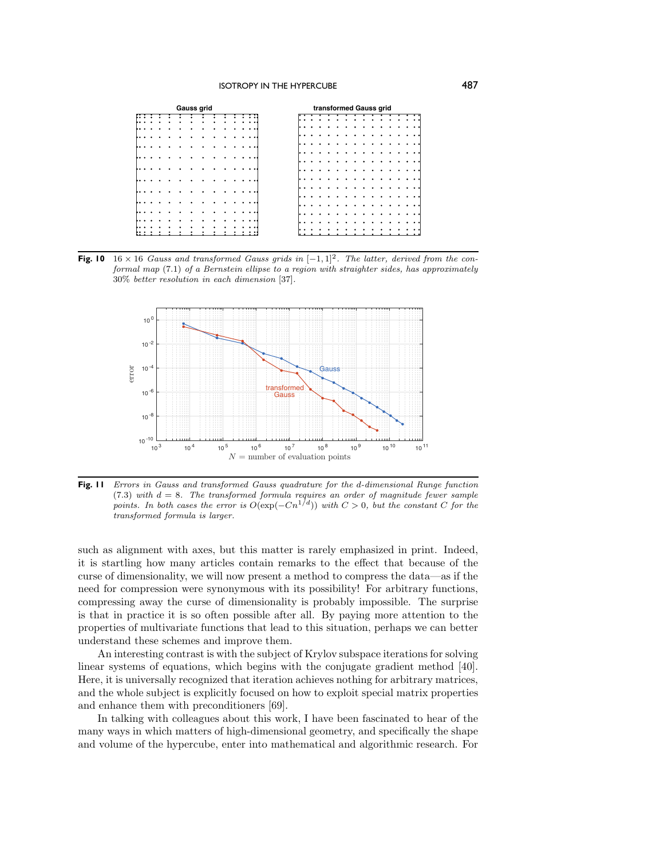#### **ISOTROPY IN THE HYPERCUBE** 487

<span id="page-18-0"></span>

**Fig. 10** 16  $\times$  16 Gauss and transformed Gauss grids in  $[-1, 1]^2$ . The latter, derived from the conformal map [\(7](#page-17-0).1) of a Bernstein ellipse to a region with straighter sides, has approximately 30% better resolution in each dimension [\[37\]](#page-21-22).

<span id="page-18-1"></span>

**Fig. 11** Errors in Gauss and transformed Gauss quadrature for the d-dimensional Runge function  $(7.3)$  $(7.3)$  with  $d = 8$ . The transformed formula requires an order of magnitude fewer sample points. In both cases the error is  $O(\exp(-Cn^{1/d}))$  with  $C > 0$ , but the constant C for the transformed formula is larger.

such as alignment with axes, but this matter is rarely emphasized in print. Indeed, it is startling how many articles contain remarks to the effect that because of the curse of dimensionality, we will now present a method to compress the data—as if the need for compression were synonymous with its possibility! For arbitrary functions, compressing away the curse of dimensionality is probably impossible. The surprise is that in practice it is so often possible after all. By paying more attention to the properties of multivariate functions that lead to this situation, perhaps we can better understand these schemes and improve them.

An interesting contrast is with the subject of Krylov subspace iterations for solving linear systems of equations, which begins with the conjugate gradient method [\[40\]](#page-21-23). Here, it is universally recognized that iteration achieves nothing for arbitrary matrices, and the whole subject is explicitly focused on how to exploit special matrix properties and enhance them with preconditioners [\[69\]](#page-22-19).

In talking with colleagues about this work, I have been fascinated to hear of the many ways in which matters of high-dimensional geometry, and specifically the shape and volume of the hypercube, enter into mathematical and algorithmic research. For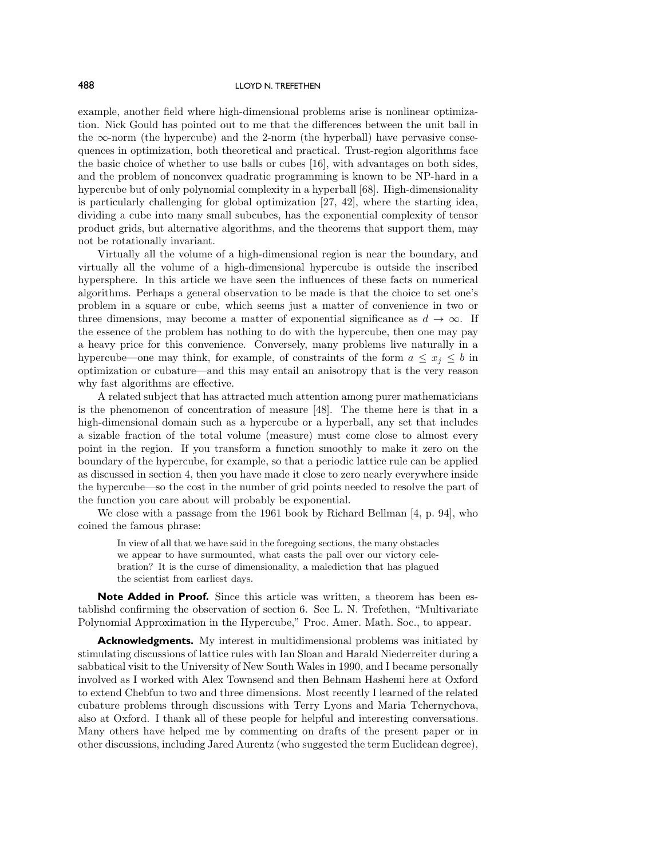example, another field where high-dimensional problems arise is nonlinear optimization. Nick Gould has pointed out to me that the differences between the unit ball in the  $\infty$ -norm (the hypercube) and the 2-norm (the hyperball) have pervasive consequences in optimization, both theoretical and practical. Trust-region algorithms face the basic choice of whether to use balls or cubes [\[16\]](#page-20-21), with advantages on both sides, and the problem of nonconvex quadratic programming is known to be NP-hard in a hypercube but of only polynomial complexity in a hyperball [\[68\]](#page-22-20). High-dimensionality is particularly challenging for global optimization  $[27, 42]$  $[27, 42]$ , where the starting idea, dividing a cube into many small subcubes, has the exponential complexity of tensor product grids, but alternative algorithms, and the theorems that support them, may not be rotationally invariant.

Virtually all the volume of a high-dimensional region is near the boundary, and virtually all the volume of a high-dimensional hypercube is outside the inscribed hypersphere. In this article we have seen the influences of these facts on numerical algorithms. Perhaps a general observation to be made is that the choice to set one's problem in a square or cube, which seems just a matter of convenience in two or three dimensions, may become a matter of exponential significance as  $d \to \infty$ . If the essence of the problem has nothing to do with the hypercube, then one may pay a heavy price for this convenience. Conversely, many problems live naturally in a hypercube—one may think, for example, of constraints of the form  $a \leq x_j \leq b$  in optimization or cubature—and this may entail an anisotropy that is the very reason why fast algorithms are effective.

A related subject that has attracted much attention among purer mathematicians is the phenomenon of concentration of measure [\[48\]](#page-21-26). The theme here is that in a high-dimensional domain such as a hypercube or a hyperball, any set that includes a sizable fraction of the total volume (measure) must come close to almost every point in the region. If you transform a function smoothly to make it zero on the boundary of the hypercube, for example, so that a periodic lattice rule can be applied as discussed in section [4,](#page-6-3) then you have made it close to zero nearly everywhere inside the hypercube—so the cost in the number of grid points needed to resolve the part of the function you care about will probably be exponential.

We close with a passage from the 1961 book by Richard Bellman [\[4,](#page-20-22) p. 94], who coined the famous phrase:

In view of all that we have said in the foregoing sections, the many obstacles we appear to have surmounted, what casts the pall over our victory celebration? It is the curse of dimensionality, a malediction that has plagued the scientist from earliest days.

**Note Added in Proof.** Since this article was written, a theorem has been establishd confirming the observation of section 6. See L. N. Trefethen, "Multivariate Polynomial Approximation in the Hypercube," Proc. Amer. Math. Soc., to appear.

**Acknowledgments.** My interest in multidimensional problems was initiated by stimulating discussions of lattice rules with Ian Sloan and Harald Niederreiter during a sabbatical visit to the University of New South Wales in 1990, and I became personally involved as I worked with Alex Townsend and then Behnam Hashemi here at Oxford to extend Chebfun to two and three dimensions. Most recently I learned of the related cubature problems through discussions with Terry Lyons and Maria Tchernychova, also at Oxford. I thank all of these people for helpful and interesting conversations. Many others have helped me by commenting on drafts of the present paper or in other discussions, including Jared Aurentz (who suggested the term Euclidean degree),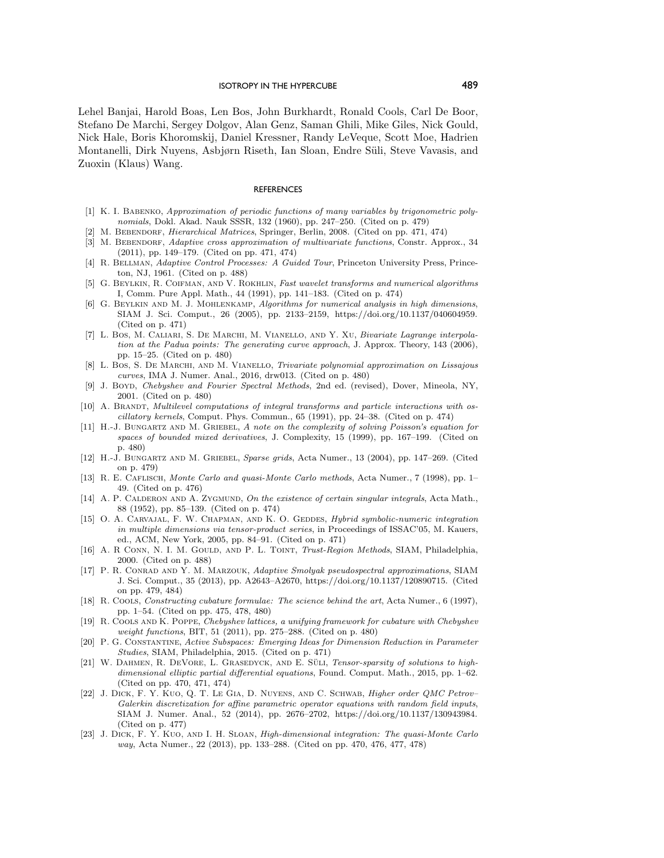Lehel Banjai, Harold Boas, Len Bos, John Burkhardt, Ronald Cools, Carl De Boor, Stefano De Marchi, Sergey Dolgov, Alan Genz, Saman Ghili, Mike Giles, Nick Gould, Nick Hale, Boris Khoromskij, Daniel Kressner, Randy LeVeque, Scott Moe, Hadrien Montanelli, Dirk Nuyens, Asbjørn Riseth, Ian Sloan, Endre Süli, Steve Vavasis, and Zuoxin (Klaus) Wang.

#### **REFERENCES**

- <span id="page-20-13"></span>[1] K. I. Babenko, Approximation of periodic functions of many variables by trigonometric polynomials, Dokl. Akad. Nauk SSSR, 132 (1960), pp. 247–250. (Cited on p. 479)
- <span id="page-20-4"></span><span id="page-20-3"></span>[2] M. Bebendorf, Hierarchical Matrices, Springer, Berlin, 2008. (Cited on pp. 471, 474)
- [3] M. BEBENDORF, Adaptive cross approximation of multivariate functions, Constr. Approx., 34 (2011), pp. 149–179. (Cited on pp. 471, 474)
- <span id="page-20-22"></span>[4] R. Bellman, Adaptive Control Processes: A Guided Tour, Princeton University Press, Princeton, NJ, 1961. (Cited on p. 488)
- <span id="page-20-8"></span>[5] G. BEYLKIN, R. COIFMAN, AND V. ROKHLIN, Fast wavelet transforms and numerical algorithms I, Comm. Pure Appl. Math., 44 (1991), pp. 141–183. (Cited on p. 474)
- <span id="page-20-6"></span>[6] G. BEYLKIN AND M. J. MOHLENKAMP, Algorithms for numerical analysis in high dimensions, SIAM J. Sci. Comput., 26 (2005), pp. 2133–2159, [https://doi.org/10.1137/040604959.](https://doi.org/10.1137/040604959) (Cited on p. 471)
- <span id="page-20-18"></span>[7] L. Bos, M. Caliari, S. De Marchi, M. Vianello, and Y. Xu, Bivariate Lagrange interpolation at the Padua points: The generating curve approach, J. Approx. Theory, 143 (2006), pp. 15–25. (Cited on p. 480)
- <span id="page-20-19"></span>[8] L. Bos, S. DE MARCHI, AND M. VIANELLO, *Trivariate polynomial approximation on Lissajous* curves, IMA J. Numer. Anal., 2016, drw013. (Cited on p. 480)
- <span id="page-20-17"></span>[9] J. Boyd, Chebyshev and Fourier Spectral Methods, 2nd ed. (revised), Dover, Mineola, NY, 2001. (Cited on p. 480)
- <span id="page-20-7"></span>[10] A. BRANDT, Multilevel computations of integral transforms and particle interactions with oscillatory kernels, Comput. Phys. Commun., 65 (1991), pp. 24–38. (Cited on p. 474)
- <span id="page-20-16"></span>[11] H.-J. BUNGARTZ AND M. GRIEBEL, A note on the complexity of solving Poisson's equation for spaces of bounded mixed derivatives, J. Complexity, 15 (1999), pp. 167–199. (Cited on p. 480)
- <span id="page-20-14"></span>[12] H.-J. Bungartz and M. Griebel, Sparse grids, Acta Numer., 13 (2004), pp. 147–269. (Cited on p. 479)
- <span id="page-20-11"></span>[13] R. E. CAFLISCH, Monte Carlo and quasi-Monte Carlo methods, Acta Numer., 7 (1998), pp. 1– 49. (Cited on p. 476)
- <span id="page-20-9"></span>[14] A. P. CALDERON AND A. ZYGMUND, On the existence of certain singular integrals, Acta Math., 88 (1952), pp. 85–139. (Cited on p. 474)
- <span id="page-20-5"></span>[15] O. A. CARVAJAL, F. W. CHAPMAN, AND K. O. GEDDES, *Hybrid symbolic-numeric integration* in multiple dimensions via tensor-product series, in Proceedings of ISSAC'05, M. Kauers, ed., ACM, New York, 2005, pp. 84–91. (Cited on p. 471)
- <span id="page-20-21"></span>[16] A. R CONN, N. I. M. GOULD, AND P. L. TOINT, *Trust-Region Methods*, SIAM, Philadelphia, 2000. (Cited on p. 488)
- <span id="page-20-15"></span>[17] P. R. Conrad and Y. M. Marzouk, Adaptive Smolyak pseudospectral approximations, SIAM J. Sci. Comput., 35 (2013), pp. A2643–A2670, [https://doi.org/10.1137/120890715.](https://doi.org/10.1137/120890715) (Cited on pp. 479, 484)
- <span id="page-20-10"></span>[18] R. COOLS, Constructing cubature formulae: The science behind the art, Acta Numer., 6 (1997), pp. 1–54. (Cited on pp. 475, 478, 480)
- <span id="page-20-20"></span>[19] R. Cools and K. Poppe, Chebyshev lattices, a unifying framework for cubature with Chebyshev weight functions, BIT, 51 (2011), pp. 275–288. (Cited on p. 480)
- <span id="page-20-2"></span>[20] P. G. Constantine, Active Subspaces: Emerging Ideas for Dimension Reduction in Parameter Studies, SIAM, Philadelphia, 2015. (Cited on p. 471)
- <span id="page-20-1"></span>[21] W. DAHMEN, R. DEVORE, L. GRASEDYCK, AND E. SÜLI, Tensor-sparsity of solutions to highdimensional elliptic partial differential equations, Found. Comput. Math., 2015, pp. 1–62. (Cited on pp. 470, 471, 474)
- <span id="page-20-12"></span>[22] J. Dick, F. Y. Kuo, Q. T. Le Gia, D. Nuyens, and C. Schwab, Higher order QMC Petrov– Galerkin discretization for affine parametric operator equations with random field inputs, SIAM J. Numer. Anal., 52 (2014), pp. 2676–2702, [https://doi.org/10.1137/130943984.](https://doi.org/10.1137/130943984) (Cited on p. 477)
- <span id="page-20-0"></span>[23] J. Dick, F. Y. Kuo, and I. H. Sloan, High-dimensional integration: The quasi-Monte Carlo way, Acta Numer., 22 (2013), pp. 133–288. (Cited on pp. 470, 476, 477, 478)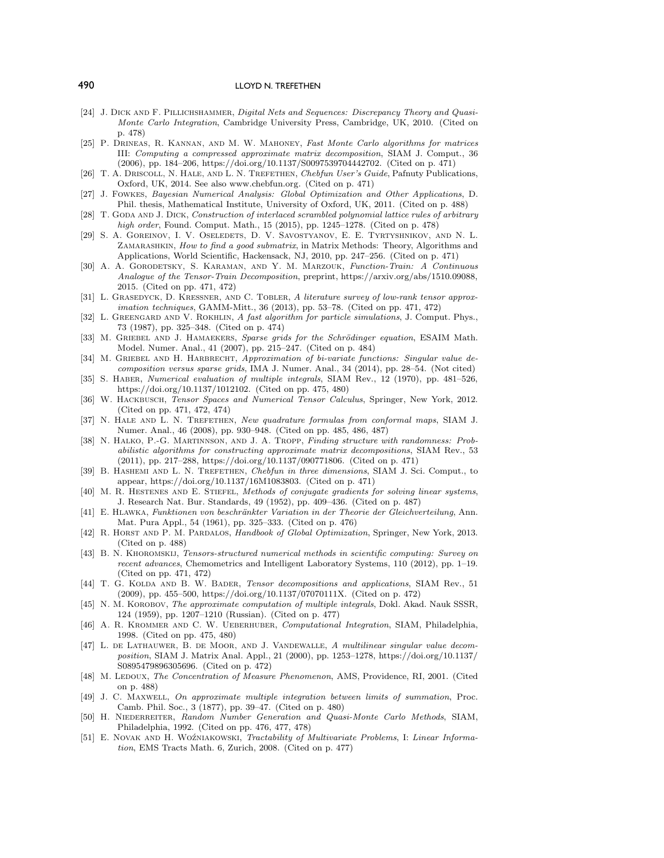- <span id="page-21-18"></span>[24] J. DICK AND F. PILLICHSHAMMER, Digital Nets and Sequences: Discrepancy Theory and Quasi-Monte Carlo Integration, Cambridge University Press, Cambridge, UK, 2010. (Cited on p. 478)
- <span id="page-21-0"></span>[25] P. Drineas, R. Kannan, and M. W. Mahoney, Fast Monte Carlo algorithms for matrices III: Computing a compressed approximate matrix decomposition, SIAM J. Comput., 36 (2006), pp. 184–206, [https://doi.org/10.1137/S0097539704442702.](https://doi.org/10.1137/S0097539704442702) (Cited on p. 471)
- <span id="page-21-6"></span>[26] T. A. DRISCOLL, N. HALE, AND L. N. TREFETHEN, Chebfun User's Guide, Pafnuty Publications, Oxford, UK, 2014. See also [www.chebfun.org.](www.chebfun.org) (Cited on p. 471)
- <span id="page-21-24"></span>[27] J. Fowkes, Bayesian Numerical Analysis: Global Optimization and Other Applications, D. Phil. thesis, Mathematical Institute, University of Oxford, UK, 2011. (Cited on p. 488)
- <span id="page-21-19"></span>[28] T. GODA AND J. DICK, Construction of interlaced scrambled polynomial lattice rules of arbitrary high order, Found. Comput. Math., 15 (2015), pp. 1245–1278. (Cited on p. 478)
- <span id="page-21-1"></span>[29] S. A. Goreinov, I. V. Oseledets, D. V. Savostyanov, E. E. Tyrtyshnikov, and N. L. ZAMARASHKIN, How to find a good submatrix, in Matrix Methods: Theory, Algorithms and Applications, World Scientific, Hackensack, NJ, 2010, pp. 247–256. (Cited on p. 471)
- <span id="page-21-2"></span>[30] A. A. Gorodetsky, S. Karaman, and Y. M. Marzouk, Function-Train: A Continuous Analogue of the Tensor-Train Decomposition, preprint, [https://arxiv.org/abs/1510.09088,](https://arxiv.org/abs/1510.09088) 2015. (Cited on pp. 471, 472)
- <span id="page-21-3"></span>[31] L. GRASEDYCK, D. KRESSNER, AND C. TOBLER, A literature survey of low-rank tensor approximation techniques, GAMM-Mitt., 36 (2013), pp. 53–78. (Cited on pp. 471, 472)
- <span id="page-21-11"></span>[32] L. GREENGARD AND V. ROKHLIN, A fast algorithm for particle simulations, J. Comput. Phys., 73 (1987), pp. 325–348. (Cited on p. 474)
- <span id="page-21-21"></span>[33] M. GRIEBEL AND J. HAMAEKERS, Sparse grids for the Schrödinger equation, ESAIM Math. Model. Numer. Anal., 41 (2007), pp. 215–247. (Cited on p. 484)
- [34] M. GRIEBEL AND H. HARBRECHT, Approximation of bi-variate functions: Singular value decomposition versus sparse grids, IMA J. Numer. Anal., 34 (2014), pp. 28–54. (Not cited)
- <span id="page-21-12"></span>[35] S. Haber, Numerical evaluation of multiple integrals, SIAM Rev., 12 (1970), pp. 481–526, [https://doi.org/10.1137/1012102.](https://doi.org/10.1137/1012102) (Cited on pp. 475, 480)
- <span id="page-21-4"></span>[36] W. Hackbusch, Tensor Spaces and Numerical Tensor Calculus, Springer, New York, 2012. (Cited on pp. 471, 472, 474)
- <span id="page-21-22"></span>[37] N. HALE AND L. N. TREFETHEN, New quadrature formulas from conformal maps, SIAM J. Numer. Anal., 46 (2008), pp. 930–948. (Cited on pp. 485, 486, 487)
- <span id="page-21-8"></span>[38] N. Halko, P.-G. Martinnson, and J. A. Tropp, Finding structure with randomness: Probabilistic algorithms for constructing approximate matrix decompositions, SIAM Rev., 53 (2011), pp. 217–288, [https://doi.org/10.1137/090771806.](https://doi.org/10.1137/090771806) (Cited on p. 471)
- <span id="page-21-7"></span>[39] B. HASHEMI AND L. N. TREFETHEN, Chebfun in three dimensions, SIAM J. Sci. Comput., to appear, [https://doi.org/10.1137/16M1083803.](https://doi.org/10.1137/16M1083803) (Cited on p. 471)
- <span id="page-21-23"></span>[40] M. R. HESTENES AND E. STIEFEL, Methods of conjugate gradients for solving linear systems, J. Research Nat. Bur. Standards, 49 (1952), pp. 409–436. (Cited on p. 487)
- <span id="page-21-15"></span>[41] E. HLAWKA, Funktionen von beschränkter Variation in der Theorie der Gleichverteilung, Ann. Mat. Pura Appl., 54 (1961), pp. 325–333. (Cited on p. 476)
- <span id="page-21-25"></span>[42] R. HORST AND P. M. PARDALOS, Handbook of Global Optimization, Springer, New York, 2013. (Cited on p. 488)
- <span id="page-21-5"></span>[43] B. N. Khoromskij, Tensors-structured numerical methods in scientific computing: Survey on recent advances, Chemometrics and Intelligent Laboratory Systems, 110 (2012), pp. 1–19. (Cited on pp. 471, 472)
- <span id="page-21-9"></span>[44] T. G. KOLDA AND B. W. BADER, Tensor decompositions and applications, SIAM Rev., 51 (2009), pp. 455–500, [https://doi.org/10.1137/07070111X.](https://doi.org/10.1137/07070111X) (Cited on p. 472)
- <span id="page-21-17"></span>[45] N. M. KOROBOV, The approximate computation of multiple integrals, Dokl. Akad. Nauk SSSR, 124 (1959), pp. 1207–1210 (Russian). (Cited on p. 477)
- <span id="page-21-13"></span>[46] A. R. Krommer and C. W. Ueberhuber, Computational Integration, SIAM, Philadelphia, 1998. (Cited on pp. 475, 480)
- <span id="page-21-10"></span>[47] L. DE LATHAUWER, B. DE MOOR, AND J. VANDEWALLE, A multilinear singular value decomposition, SIAM J. Matrix Anal. Appl., 21 (2000), pp. 1253–1278, [https://doi.org/10.1137/](https://doi.org/10.1137/S0895479896305696) [S0895479896305696.](https://doi.org/10.1137/S0895479896305696) (Cited on p. 472)
- <span id="page-21-26"></span>[48] M. LEDOUX, The Concentration of Measure Phenomenon, AMS, Providence, RI, 2001. (Cited on p. 488)
- <span id="page-21-20"></span>[49] J. C. Maxwell, On approximate multiple integration between limits of summation, Proc. Camb. Phil. Soc., 3 (1877), pp. 39–47. (Cited on p. 480)
- <span id="page-21-14"></span>[50] H. NIEDERREITER, Random Number Generation and Quasi-Monte Carlo Methods, SIAM, Philadelphia, 1992. (Cited on pp. 476, 477, 478)
- <span id="page-21-16"></span>[51] E. NOVAK AND H. WOŹNIAKOWSKI, Tractability of Multivariate Problems, I: Linear Information, EMS Tracts Math. 6, Zurich, 2008. (Cited on p. 477)